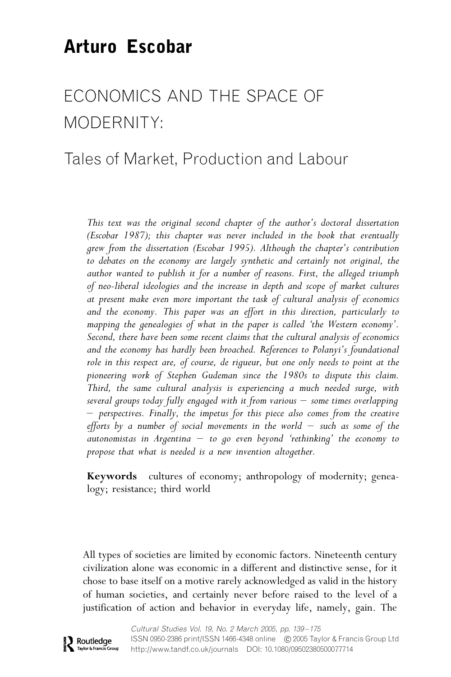# Arturo Escobar

# ECONOMICS AND THE SPACE OF MODERNITY:

# Tales of Market, Production and Labour

This text was the original second chapter of the author's doctoral dissertation (Escobar 1987); this chapter was never included in the book that eventually grew from the dissertation (Escobar 1995). Although the chapter's contribution to debates on the economy are largely synthetic and certainly not original, the author wanted to publish it for a number of reasons. First, the alleged triumph of neo-liberal ideologies and the increase in depth and scope of market cultures at present make even more important the task of cultural analysis of economics and the economy. This paper was an effort in this direction, particularly to mapping the genealogies of what in the paper is called 'the Western economy'. Second, there have been some recent claims that the cultural analysis of economics and the economy has hardly been broached. References to Polanyi's foundational role in this respect are, of course, de rigueur, but one only needs to point at the pioneering work of Stephen Gudeman since the 1980s to dispute this claim. Third, the same cultural analysis is experiencing a much needed surge, with several groups today fully engaged with it from various  $-$  some times overlapping - perspectives. Finally, the impetus for this piece also comes from the creative efforts by a number of social movements in the world  $-$  such as some of the autonomistas in Argentina  $-$  to go even beyond 'rethinking' the economy to propose that what is needed is a new invention altogether.

Keywords cultures of economy; anthropology of modernity; genealogy; resistance; third world

All types of societies are limited by economic factors. Nineteenth century civilization alone was economic in a different and distinctive sense, for it chose to base itself on a motive rarely acknowledged as valid in the history of human societies, and certainly never before raised to the level of a justification of action and behavior in everyday life, namely, gain. The

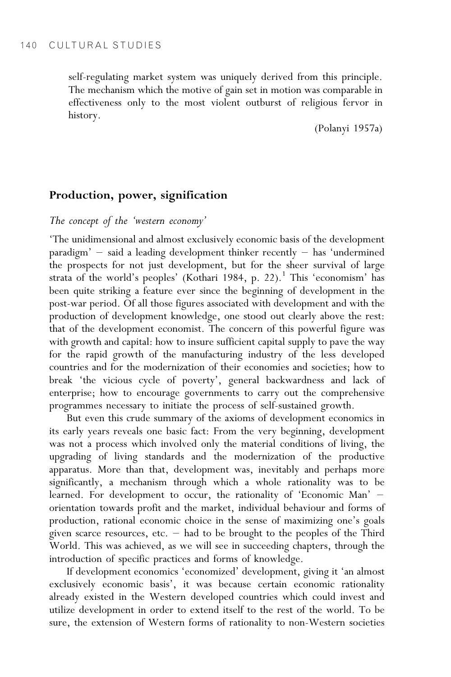self-regulating market system was uniquely derived from this principle. The mechanism which the motive of gain set in motion was comparable in effectiveness only to the most violent outburst of religious fervor in history.

(Polanyi 1957a)

## Production, power, signification

#### The concept of the 'western economy'

'The unidimensional and almost exclusively economic basis of the development paradigm'  $-$  said a leading development thinker recently  $-$  has 'undermined the prospects for not just development, but for the sheer survival of large strata of the world's peoples' (Kothari 1984, p. 22).<sup>1</sup> This 'economism' has been quite striking a feature ever since the beginning of development in the post-war period. Of all those figures associated with development and with the production of development knowledge, one stood out clearly above the rest: that of the development economist. The concern of this powerful figure was with growth and capital: how to insure sufficient capital supply to pave the way for the rapid growth of the manufacturing industry of the less developed countries and for the modernization of their economies and societies; how to break 'the vicious cycle of poverty', general backwardness and lack of enterprise; how to encourage governments to carry out the comprehensive programmes necessary to initiate the process of self-sustained growth.

But even this crude summary of the axioms of development economics in its early years reveals one basic fact: From the very beginning, development was not a process which involved only the material conditions of living, the upgrading of living standards and the modernization of the productive apparatus. More than that, development was, inevitably and perhaps more significantly, a mechanism through which a whole rationality was to be learned. For development to occur, the rationality of 'Economic Man'  $$ orientation towards profit and the market, individual behaviour and forms of production, rational economic choice in the sense of maximizing one's goals given scarce resources, etc.  $-$  had to be brought to the peoples of the Third World. This was achieved, as we will see in succeeding chapters, through the introduction of specific practices and forms of knowledge.

If development economics 'economized' development, giving it 'an almost exclusively economic basis', it was because certain economic rationality already existed in the Western developed countries which could invest and utilize development in order to extend itself to the rest of the world. To be sure, the extension of Western forms of rationality to non-Western societies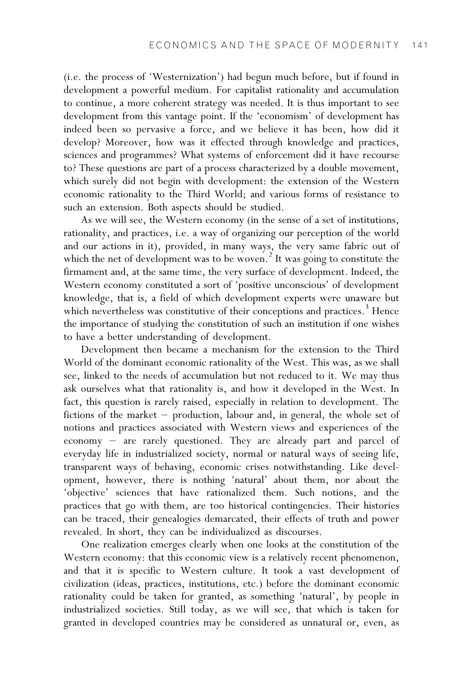(i.e. the process of 'Westernization') had begun much before, but if found in development a powerful medium. For capitalist rationality and accumulation to continue, a more coherent strategy was needed. It is thus important to see development from this vantage point. If the 'economism' of development has indeed been so pervasive a force, and we believe it has been, how did it develop? Moreover, how was it effected through knowledge and practices, sciences and programmes? What systems of enforcement did it have recourse to? These questions are part of a process characterized by a double movement, which surely did not begin with development: the extension of the Western economic rationality to the Third World; and various forms of resistance to such an extension. Both aspects should be studied.

As we will see, the Western economy (in the sense of a set of institutions, rationality, and practices, i.e. a way of organizing our perception of the world and our actions in it), provided, in many ways, the very same fabric out of which the net of development was to be woven.<sup>2</sup> It was going to constitute the firmament and, at the same time, the very surface of development. Indeed, the Western economy constituted a sort of 'positive unconscious' of development knowledge, that is, a field of which development experts were unaware but which nevertheless was constitutive of their conceptions and practices.<sup>3</sup> Hence the importance of studying the constitution of such an institution if one wishes to have a better understanding of development.

Development then became a mechanism for the extension to the Third World of the dominant economic rationality of the West. This was, as we shall see, linked to the needs of accumulation but not reduced to it. We may thus ask ourselves what that rationality is, and how it developed in the West. In fact, this question is rarely raised, especially in relation to development. The fictions of the market  $-$  production, labour and, in general, the whole set of notions and practices associated with Western views and experiences of the economy - are rarely questioned. They are already part and parcel of everyday life in industrialized society, normal or natural ways of seeing life, transparent ways of behaving, economic crises notwithstanding. Like development, however, there is nothing 'natural' about them, nor about the 'objective' sciences that have rationalized them. Such notions, and the practices that go with them, are too historical contingencies. Their histories can be traced, their genealogies demarcated, their effects of truth and power revealed. In short, they can be individualized as discourses.

One realization emerges clearly when one looks at the constitution of the Western economy: that this economic view is a relatively recent phenomenon, and that it is specific to Western culture. It took a vast development of civilization (ideas, practices, institutions, etc.) before the dominant economic rationality could be taken for granted, as something 'natural', by people in industrialized societies. Still today, as we will see, that which is taken for granted in developed countries may be considered as unnatural or, even, as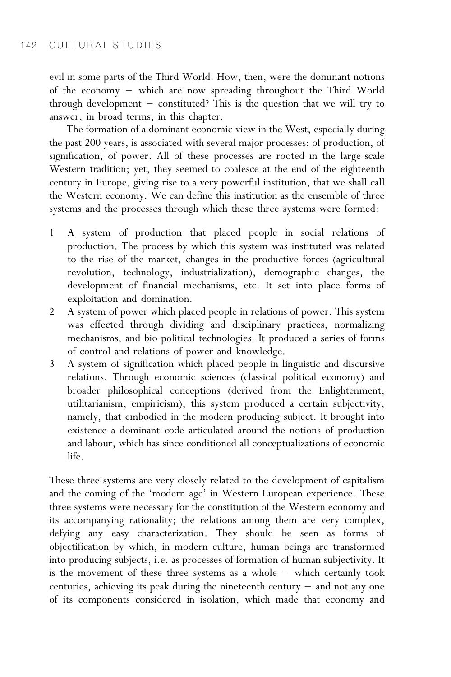evil in some parts of the Third World. How, then, were the dominant notions of the economy - which are now spreading throughout the Third World through development  $-$  constituted? This is the question that we will try to answer, in broad terms, in this chapter.

The formation of a dominant economic view in the West, especially during the past 200 years, is associated with several major processes: of production, of signification, of power. All of these processes are rooted in the large-scale Western tradition; yet, they seemed to coalesce at the end of the eighteenth century in Europe, giving rise to a very powerful institution, that we shall call the Western economy. We can define this institution as the ensemble of three systems and the processes through which these three systems were formed:

- 1 A system of production that placed people in social relations of production. The process by which this system was instituted was related to the rise of the market, changes in the productive forces (agricultural revolution, technology, industrialization), demographic changes, the development of financial mechanisms, etc. It set into place forms of exploitation and domination.
- 2 A system of power which placed people in relations of power. This system was effected through dividing and disciplinary practices, normalizing mechanisms, and bio-political technologies. It produced a series of forms of control and relations of power and knowledge.
- 3 A system of signification which placed people in linguistic and discursive relations. Through economic sciences (classical political economy) and broader philosophical conceptions (derived from the Enlightenment, utilitarianism, empiricism), this system produced a certain subjectivity, namely, that embodied in the modern producing subject. It brought into existence a dominant code articulated around the notions of production and labour, which has since conditioned all conceptualizations of economic life.

These three systems are very closely related to the development of capitalism and the coming of the 'modern age' in Western European experience. These three systems were necessary for the constitution of the Western economy and its accompanying rationality; the relations among them are very complex, defying any easy characterization. They should be seen as forms of objectification by which, in modern culture, human beings are transformed into producing subjects, i.e. as processes of formation of human subjectivity. It is the movement of these three systems as a whole  $-$  which certainly took centuries, achieving its peak during the nineteenth century  $-$  and not any one of its components considered in isolation, which made that economy and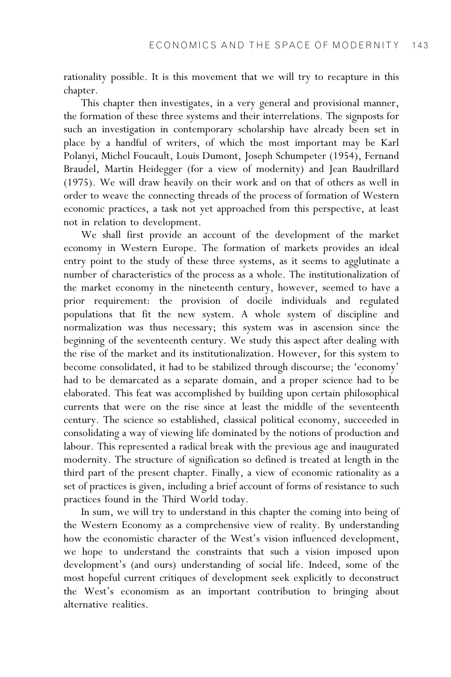rationality possible. It is this movement that we will try to recapture in this chapter.

This chapter then investigates, in a very general and provisional manner, the formation of these three systems and their interrelations. The signposts for such an investigation in contemporary scholarship have already been set in place by a handful of writers, of which the most important may be Karl Polanyi, Michel Foucault, Louis Dumont, Joseph Schumpeter (1954), Fernand Braudel, Martin Heidegger (for a view of modernity) and Jean Baudrillard (1975). We will draw heavily on their work and on that of others as well in order to weave the connecting threads of the process of formation of Western economic practices, a task not yet approached from this perspective, at least not in relation to development.

We shall first provide an account of the development of the market economy in Western Europe. The formation of markets provides an ideal entry point to the study of these three systems, as it seems to agglutinate a number of characteristics of the process as a whole. The institutionalization of the market economy in the nineteenth century, however, seemed to have a prior requirement: the provision of docile individuals and regulated populations that fit the new system. A whole system of discipline and normalization was thus necessary; this system was in ascension since the beginning of the seventeenth century. We study this aspect after dealing with the rise of the market and its institutionalization. However, for this system to become consolidated, it had to be stabilized through discourse; the 'economy' had to be demarcated as a separate domain, and a proper science had to be elaborated. This feat was accomplished by building upon certain philosophical currents that were on the rise since at least the middle of the seventeenth century. The science so established, classical political economy, succeeded in consolidating a way of viewing life dominated by the notions of production and labour. This represented a radical break with the previous age and inaugurated modernity. The structure of signification so defined is treated at length in the third part of the present chapter. Finally, a view of economic rationality as a set of practices is given, including a brief account of forms of resistance to such practices found in the Third World today.

In sum, we will try to understand in this chapter the coming into being of the Western Economy as a comprehensive view of reality. By understanding how the economistic character of the West's vision influenced development, we hope to understand the constraints that such a vision imposed upon development's (and ours) understanding of social life. Indeed, some of the most hopeful current critiques of development seek explicitly to deconstruct the West's economism as an important contribution to bringing about alternative realities.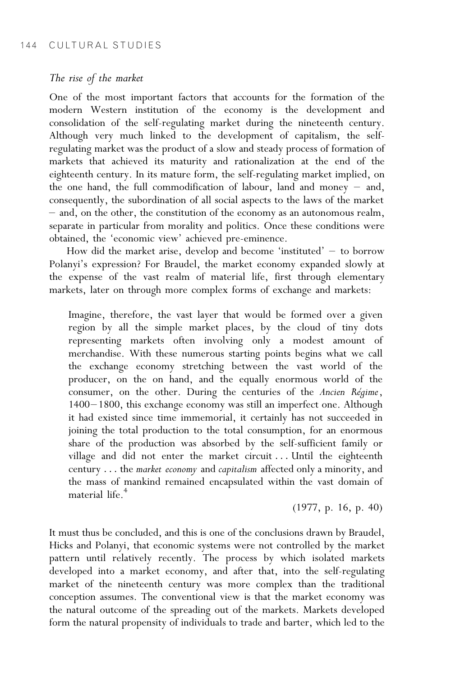#### The rise of the market

One of the most important factors that accounts for the formation of the modern Western institution of the economy is the development and consolidation of the self-regulating market during the nineteenth century. Although very much linked to the development of capitalism, the selfregulating market was the product of a slow and steady process of formation of markets that achieved its maturity and rationalization at the end of the eighteenth century. In its mature form, the self-regulating market implied, on the one hand, the full commodification of labour, land and money  $-$  and, consequently, the subordination of all social aspects to the laws of the market - and, on the other, the constitution of the economy as an autonomous realm, separate in particular from morality and politics. Once these conditions were obtained, the 'economic view' achieved pre-eminence.

How did the market arise, develop and become 'instituted'  $-$  to borrow Polanyi's expression? For Braudel, the market economy expanded slowly at the expense of the vast realm of material life, first through elementary markets, later on through more complex forms of exchange and markets:

Imagine, therefore, the vast layer that would be formed over a given region by all the simple market places, by the cloud of tiny dots representing markets often involving only a modest amount of merchandise. With these numerous starting points begins what we call the exchange economy stretching between the vast world of the producer, on the on hand, and the equally enormous world of the consumer, on the other. During the centuries of the Ancien Régime, 1400-1800, this exchange economy was still an imperfect one. Although it had existed since time immemorial, it certainly has not succeeded in joining the total production to the total consumption, for an enormous share of the production was absorbed by the self-sufficient family or village and did not enter the market circuit ... Until the eighteenth century ... the market economy and capitalism affected only a minority, and the mass of mankind remained encapsulated within the vast domain of material life.<sup>4</sup>

(1977, p. 16, p. 40)

It must thus be concluded, and this is one of the conclusions drawn by Braudel, Hicks and Polanyi, that economic systems were not controlled by the market pattern until relatively recently. The process by which isolated markets developed into a market economy, and after that, into the self-regulating market of the nineteenth century was more complex than the traditional conception assumes. The conventional view is that the market economy was the natural outcome of the spreading out of the markets. Markets developed form the natural propensity of individuals to trade and barter, which led to the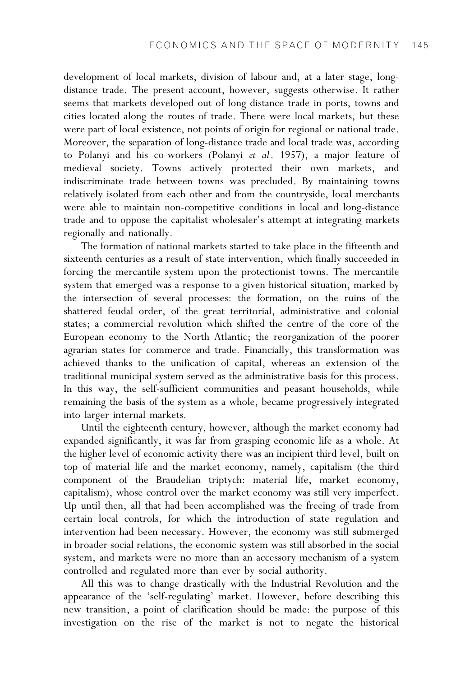development of local markets, division of labour and, at a later stage, longdistance trade. The present account, however, suggests otherwise. It rather seems that markets developed out of long-distance trade in ports, towns and cities located along the routes of trade. There were local markets, but these were part of local existence, not points of origin for regional or national trade. Moreover, the separation of long-distance trade and local trade was, according to Polanyi and his co-workers (Polanyi et al. 1957), a major feature of medieval society. Towns actively protected their own markets, and indiscriminate trade between towns was precluded. By maintaining towns relatively isolated from each other and from the countryside, local merchants were able to maintain non-competitive conditions in local and long-distance trade and to oppose the capitalist wholesaler's attempt at integrating markets regionally and nationally.

The formation of national markets started to take place in the fifteenth and sixteenth centuries as a result of state intervention, which finally succeeded in forcing the mercantile system upon the protectionist towns. The mercantile system that emerged was a response to a given historical situation, marked by the intersection of several processes: the formation, on the ruins of the shattered feudal order, of the great territorial, administrative and colonial states; a commercial revolution which shifted the centre of the core of the European economy to the North Atlantic; the reorganization of the poorer agrarian states for commerce and trade. Financially, this transformation was achieved thanks to the unification of capital, whereas an extension of the traditional municipal system served as the administrative basis for this process. In this way, the self-sufficient communities and peasant households, while remaining the basis of the system as a whole, became progressively integrated into larger internal markets.

Until the eighteenth century, however, although the market economy had expanded significantly, it was far from grasping economic life as a whole. At the higher level of economic activity there was an incipient third level, built on top of material life and the market economy, namely, capitalism (the third component of the Braudelian triptych: material life, market economy, capitalism), whose control over the market economy was still very imperfect. Up until then, all that had been accomplished was the freeing of trade from certain local controls, for which the introduction of state regulation and intervention had been necessary. However, the economy was still submerged in broader social relations, the economic system was still absorbed in the social system, and markets were no more than an accessory mechanism of a system controlled and regulated more than ever by social authority.

All this was to change drastically with the Industrial Revolution and the appearance of the 'self-regulating' market. However, before describing this new transition, a point of clarification should be made: the purpose of this investigation on the rise of the market is not to negate the historical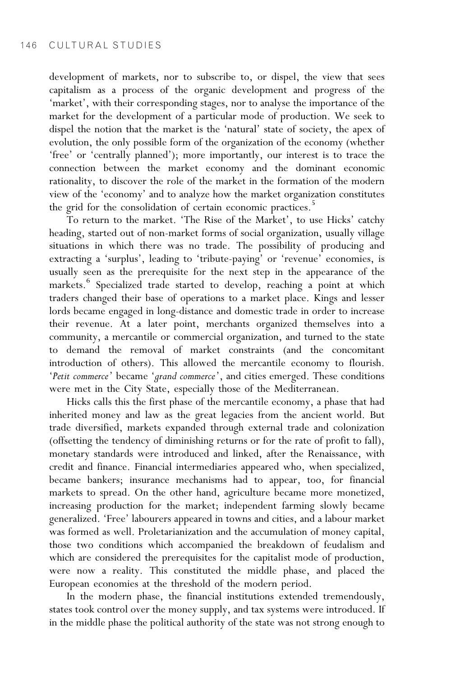development of markets, nor to subscribe to, or dispel, the view that sees capitalism as a process of the organic development and progress of the 'market', with their corresponding stages, nor to analyse the importance of the market for the development of a particular mode of production. We seek to dispel the notion that the market is the 'natural' state of society, the apex of evolution, the only possible form of the organization of the economy (whether 'free' or 'centrally planned'); more importantly, our interest is to trace the connection between the market economy and the dominant economic rationality, to discover the role of the market in the formation of the modern view of the 'economy' and to analyze how the market organization constitutes the grid for the consolidation of certain economic practices.<sup>5</sup>

To return to the market. 'The Rise of the Market', to use Hicks' catchy heading, started out of non-market forms of social organization, usually village situations in which there was no trade. The possibility of producing and extracting a 'surplus', leading to 'tribute-paying' or 'revenue' economies, is usually seen as the prerequisite for the next step in the appearance of the markets.<sup>6</sup> Specialized trade started to develop, reaching a point at which traders changed their base of operations to a market place. Kings and lesser lords became engaged in long-distance and domestic trade in order to increase their revenue. At a later point, merchants organized themselves into a community, a mercantile or commercial organization, and turned to the state to demand the removal of market constraints (and the concomitant introduction of others). This allowed the mercantile economy to flourish. 'Petit commerce' became 'grand commerce', and cities emerged. These conditions were met in the City State, especially those of the Mediterranean.

Hicks calls this the first phase of the mercantile economy, a phase that had inherited money and law as the great legacies from the ancient world. But trade diversified, markets expanded through external trade and colonization (offsetting the tendency of diminishing returns or for the rate of profit to fall), monetary standards were introduced and linked, after the Renaissance, with credit and finance. Financial intermediaries appeared who, when specialized, became bankers; insurance mechanisms had to appear, too, for financial markets to spread. On the other hand, agriculture became more monetized, increasing production for the market; independent farming slowly became generalized. 'Free' labourers appeared in towns and cities, and a labour market was formed as well. Proletarianization and the accumulation of money capital, those two conditions which accompanied the breakdown of feudalism and which are considered the prerequisites for the capitalist mode of production, were now a reality. This constituted the middle phase, and placed the European economies at the threshold of the modern period.

In the modern phase, the financial institutions extended tremendously, states took control over the money supply, and tax systems were introduced. If in the middle phase the political authority of the state was not strong enough to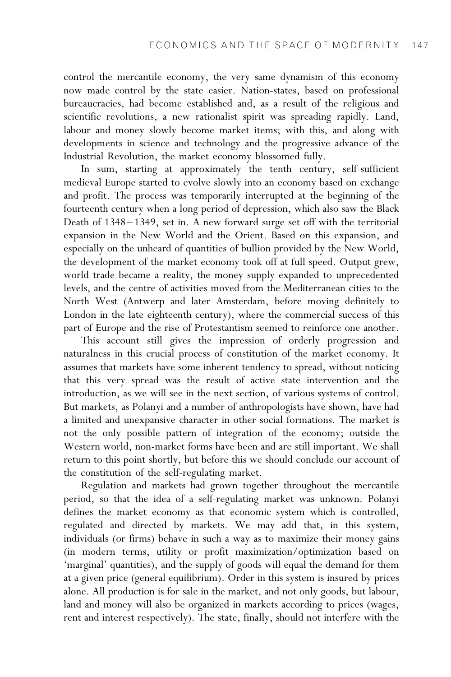control the mercantile economy, the very same dynamism of this economy now made control by the state easier. Nation-states, based on professional bureaucracies, had become established and, as a result of the religious and scientific revolutions, a new rationalist spirit was spreading rapidly. Land, labour and money slowly become market items; with this, and along with developments in science and technology and the progressive advance of the Industrial Revolution, the market economy blossomed fully.

In sum, starting at approximately the tenth century, self-sufficient medieval Europe started to evolve slowly into an economy based on exchange and profit. The process was temporarily interrupted at the beginning of the fourteenth century when a long period of depression, which also saw the Black Death of 1348-1349, set in. A new forward surge set off with the territorial expansion in the New World and the Orient. Based on this expansion, and especially on the unheard of quantities of bullion provided by the New World, the development of the market economy took off at full speed. Output grew, world trade became a reality, the money supply expanded to unprecedented levels, and the centre of activities moved from the Mediterranean cities to the North West (Antwerp and later Amsterdam, before moving definitely to London in the late eighteenth century), where the commercial success of this part of Europe and the rise of Protestantism seemed to reinforce one another.

This account still gives the impression of orderly progression and naturalness in this crucial process of constitution of the market economy. It assumes that markets have some inherent tendency to spread, without noticing that this very spread was the result of active state intervention and the introduction, as we will see in the next section, of various systems of control. But markets, as Polanyi and a number of anthropologists have shown, have had a limited and unexpansive character in other social formations. The market is not the only possible pattern of integration of the economy; outside the Western world, non-market forms have been and are still important. We shall return to this point shortly, but before this we should conclude our account of the constitution of the self-regulating market.

Regulation and markets had grown together throughout the mercantile period, so that the idea of a self-regulating market was unknown. Polanyi defines the market economy as that economic system which is controlled, regulated and directed by markets. We may add that, in this system, individuals (or firms) behave in such a way as to maximize their money gains (in modern terms, utility or profit maximization/optimization based on 'marginal' quantities), and the supply of goods will equal the demand for them at a given price (general equilibrium). Order in this system is insured by prices alone. All production is for sale in the market, and not only goods, but labour, land and money will also be organized in markets according to prices (wages, rent and interest respectively). The state, finally, should not interfere with the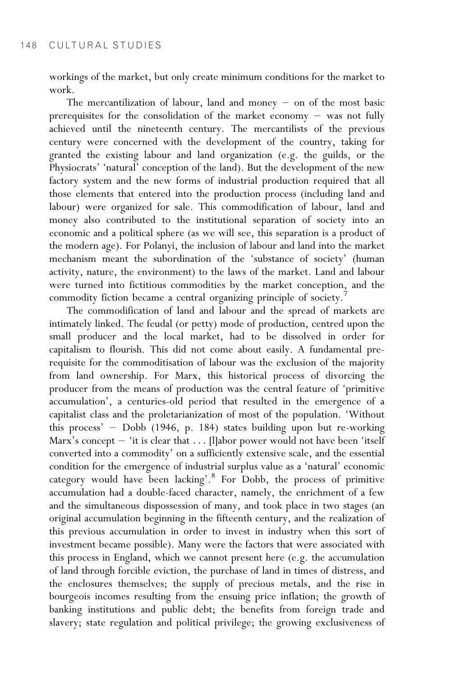workings of the market, but only create minimum conditions for the market to work.

The mercantilization of labour, land and money  $-$  on of the most basic prerequisites for the consolidation of the market economy  $-$  was not fully achieved until the nineteenth century. The mercantilists of the previous century were concerned with the development of the country, taking for granted the existing labour and land organization (e.g. the guilds, or the Physiocrats' 'natural' conception of the land). But the development of the new factory system and the new forms of industrial production required that all those elements that entered into the production process (including land and labour) were organized for sale. This commodification of labour, land and money also contributed to the institutional separation of society into an economic and a political sphere (as we will see, this separation is a product of the modern age). For Polanyi, the inclusion of labour and land into the market mechanism meant the subordination of the 'substance of society' (human activity, nature, the environment) to the laws of the market. Land and labour were turned into fictitious commodities by the market conception, and the commodity fiction became a central organizing principle of society.<sup>7</sup>

The commodification of land and labour and the spread of markets are intimately linked. The feudal (or petty) mode of production, centred upon the small producer and the local market, had to be dissolved in order for capitalism to flourish. This did not come about easily. A fundamental prerequisite for the commoditisation of labour was the exclusion of the majority from land ownership. For Marx, this historical process of divorcing the producer from the means of production was the central feature of 'primitive accumulation', a centuries-old period that resulted in the emergence of a capitalist class and the proletarianization of most of the population. 'Without this process' - Dobb (1946, p. 184) states building upon but re-working Marx's concept - 'it is clear that  $\dots$  [l]abor power would not have been 'itself converted into a commodity' on a sufficiently extensive scale, and the essential condition for the emergence of industrial surplus value as a 'natural' economic category would have been lacking'.<sup>8</sup> For Dobb, the process of primitive accumulation had a double-faced character, namely, the enrichment of a few and the simultaneous dispossession of many, and took place in two stages (an original accumulation beginning in the fifteenth century, and the realization of this previous accumulation in order to invest in industry when this sort of investment became possible). Many were the factors that were associated with this process in England, which we cannot present here (e.g. the accumulation of land through forcible eviction, the purchase of land in times of distress, and the enclosures themselves; the supply of precious metals, and the rise in bourgeois incomes resulting from the ensuing price inflation; the growth of banking institutions and public debt; the benefits from foreign trade and slavery; state regulation and political privilege; the growing exclusiveness of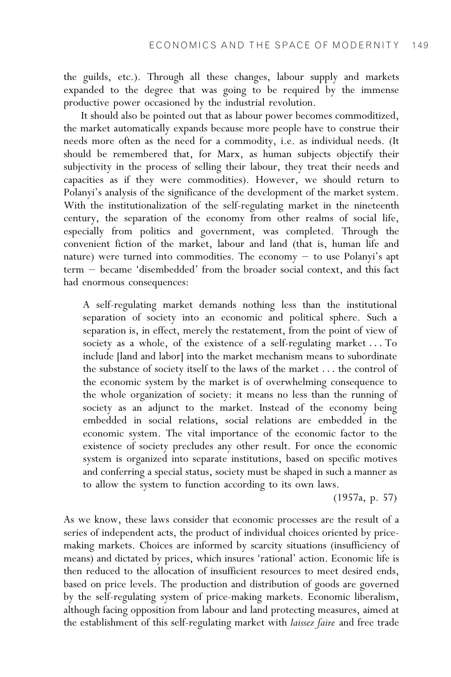the guilds, etc.). Through all these changes, labour supply and markets expanded to the degree that was going to be required by the immense productive power occasioned by the industrial revolution.

It should also be pointed out that as labour power becomes commoditized, the market automatically expands because more people have to construe their needs more often as the need for a commodity, i.e. as individual needs. (It should be remembered that, for Marx, as human subjects objectify their subjectivity in the process of selling their labour, they treat their needs and capacities as if they were commodities). However, we should return to Polanyi's analysis of the significance of the development of the market system. With the institutionalization of the self-regulating market in the nineteenth century, the separation of the economy from other realms of social life, especially from politics and government, was completed. Through the convenient fiction of the market, labour and land (that is, human life and nature) were turned into commodities. The economy  $-$  to use Polanyi's apt term - became 'disembedded' from the broader social context, and this fact had enormous consequences:

A self-regulating market demands nothing less than the institutional separation of society into an economic and political sphere. Such a separation is, in effect, merely the restatement, from the point of view of society as a whole, of the existence of a self-regulating market ... To include [land and labor] into the market mechanism means to subordinate the substance of society itself to the laws of the market ... the control of the economic system by the market is of overwhelming consequence to the whole organization of society: it means no less than the running of society as an adjunct to the market. Instead of the economy being embedded in social relations, social relations are embedded in the economic system. The vital importance of the economic factor to the existence of society precludes any other result. For once the economic system is organized into separate institutions, based on specific motives and conferring a special status, society must be shaped in such a manner as to allow the system to function according to its own laws.

(1957a, p. 57)

As we know, these laws consider that economic processes are the result of a series of independent acts, the product of individual choices oriented by pricemaking markets. Choices are informed by scarcity situations (insufficiency of means) and dictated by prices, which insures 'rational' action. Economic life is then reduced to the allocation of insufficient resources to meet desired ends, based on price levels. The production and distribution of goods are governed by the self-regulating system of price-making markets. Economic liberalism, although facing opposition from labour and land protecting measures, aimed at the establishment of this self-regulating market with laissez faire and free trade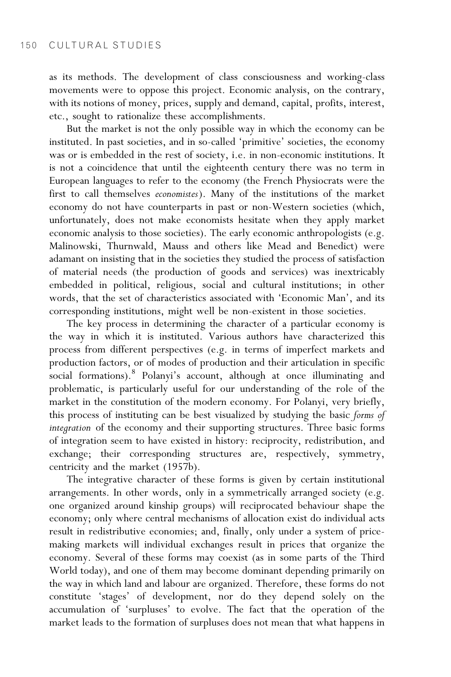as its methods. The development of class consciousness and working-class movements were to oppose this project. Economic analysis, on the contrary, with its notions of money, prices, supply and demand, capital, profits, interest, etc., sought to rationalize these accomplishments.

But the market is not the only possible way in which the economy can be instituted. In past societies, and in so-called 'primitive' societies, the economy was or is embedded in the rest of society, i.e. in non-economic institutions. It is not a coincidence that until the eighteenth century there was no term in European languages to refer to the economy (the French Physiocrats were the first to call themselves economistes). Many of the institutions of the market economy do not have counterparts in past or non-Western societies (which, unfortunately, does not make economists hesitate when they apply market economic analysis to those societies). The early economic anthropologists (e.g. Malinowski, Thurnwald, Mauss and others like Mead and Benedict) were adamant on insisting that in the societies they studied the process of satisfaction of material needs (the production of goods and services) was inextricably embedded in political, religious, social and cultural institutions; in other words, that the set of characteristics associated with 'Economic Man', and its corresponding institutions, might well be non-existent in those societies.

The key process in determining the character of a particular economy is the way in which it is instituted. Various authors have characterized this process from different perspectives (e.g. in terms of imperfect markets and production factors, or of modes of production and their articulation in specific social formations).<sup>8</sup> Polanyi's account, although at once illuminating and problematic, is particularly useful for our understanding of the role of the market in the constitution of the modern economy. For Polanyi, very briefly, this process of instituting can be best visualized by studying the basic forms of integration of the economy and their supporting structures. Three basic forms of integration seem to have existed in history: reciprocity, redistribution, and exchange; their corresponding structures are, respectively, symmetry, centricity and the market (1957b).

The integrative character of these forms is given by certain institutional arrangements. In other words, only in a symmetrically arranged society (e.g. one organized around kinship groups) will reciprocated behaviour shape the economy; only where central mechanisms of allocation exist do individual acts result in redistributive economies; and, finally, only under a system of pricemaking markets will individual exchanges result in prices that organize the economy. Several of these forms may coexist (as in some parts of the Third World today), and one of them may become dominant depending primarily on the way in which land and labour are organized. Therefore, these forms do not constitute 'stages' of development, nor do they depend solely on the accumulation of 'surpluses' to evolve. The fact that the operation of the market leads to the formation of surpluses does not mean that what happens in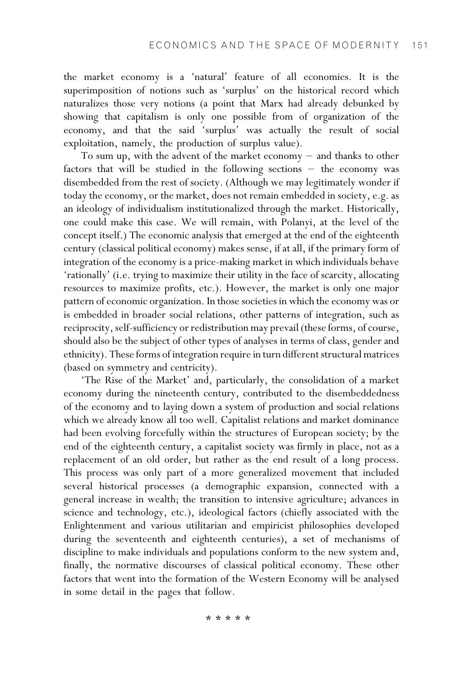the market economy is a 'natural' feature of all economies. It is the superimposition of notions such as 'surplus' on the historical record which naturalizes those very notions (a point that Marx had already debunked by showing that capitalism is only one possible from of organization of the economy, and that the said 'surplus' was actually the result of social exploitation, namely, the production of surplus value).

To sum up, with the advent of the market economy  $-$  and thanks to other factors that will be studied in the following sections  $-$  the economy was disembedded from the rest of society. (Although we may legitimately wonder if today the economy, or the market, does not remain embedded in society, e.g. as an ideology of individualism institutionalized through the market. Historically, one could make this case. We will remain, with Polanyi, at the level of the concept itself.) The economic analysis that emerged at the end of the eighteenth century (classical political economy) makes sense, if at all, if the primary form of integration of the economy is a price-making market in which individuals behave 'rationally' (i.e. trying to maximize their utility in the face of scarcity, allocating resources to maximize profits, etc.). However, the market is only one major pattern of economic organization. In those societies in which the economy was or is embedded in broader social relations, other patterns of integration, such as reciprocity, self-sufficiency or redistribution may prevail (these forms, of course, should also be the subject of other types of analyses in terms of class, gender and ethnicity). These forms of integration require in turn different structural matrices (based on symmetry and centricity).

'The Rise of the Market' and, particularly, the consolidation of a market economy during the nineteenth century, contributed to the disembeddedness of the economy and to laying down a system of production and social relations which we already know all too well. Capitalist relations and market dominance had been evolving forcefully within the structures of European society; by the end of the eighteenth century, a capitalist society was firmly in place, not as a replacement of an old order, but rather as the end result of a long process. This process was only part of a more generalized movement that included several historical processes (a demographic expansion, connected with a general increase in wealth; the transition to intensive agriculture; advances in science and technology, etc.), ideological factors (chiefly associated with the Enlightenment and various utilitarian and empiricist philosophies developed during the seventeenth and eighteenth centuries), a set of mechanisms of discipline to make individuals and populations conform to the new system and, finally, the normative discourses of classical political economy. These other factors that went into the formation of the Western Economy will be analysed in some detail in the pages that follow.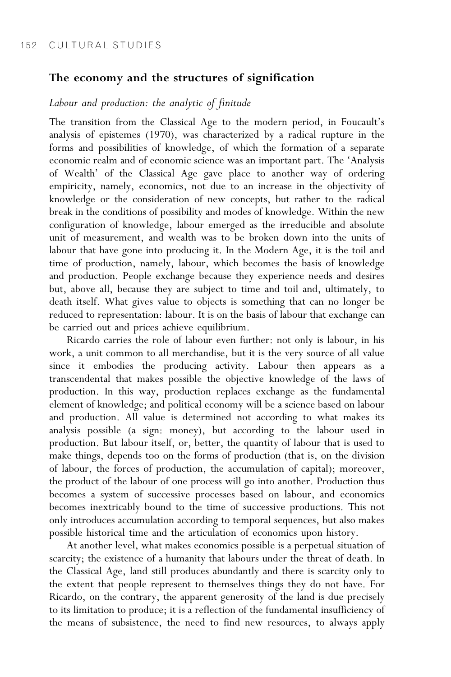#### The economy and the structures of signification

#### Labour and production: the analytic of finitude

The transition from the Classical Age to the modern period, in Foucault's analysis of epistemes (1970), was characterized by a radical rupture in the forms and possibilities of knowledge, of which the formation of a separate economic realm and of economic science was an important part. The 'Analysis of Wealth' of the Classical Age gave place to another way of ordering empiricity, namely, economics, not due to an increase in the objectivity of knowledge or the consideration of new concepts, but rather to the radical break in the conditions of possibility and modes of knowledge. Within the new configuration of knowledge, labour emerged as the irreducible and absolute unit of measurement, and wealth was to be broken down into the units of labour that have gone into producing it. In the Modern Age, it is the toil and time of production, namely, labour, which becomes the basis of knowledge and production. People exchange because they experience needs and desires but, above all, because they are subject to time and toil and, ultimately, to death itself. What gives value to objects is something that can no longer be reduced to representation: labour. It is on the basis of labour that exchange can be carried out and prices achieve equilibrium.

Ricardo carries the role of labour even further: not only is labour, in his work, a unit common to all merchandise, but it is the very source of all value since it embodies the producing activity. Labour then appears as a transcendental that makes possible the objective knowledge of the laws of production. In this way, production replaces exchange as the fundamental element of knowledge; and political economy will be a science based on labour and production. All value is determined not according to what makes its analysis possible (a sign: money), but according to the labour used in production. But labour itself, or, better, the quantity of labour that is used to make things, depends too on the forms of production (that is, on the division of labour, the forces of production, the accumulation of capital); moreover, the product of the labour of one process will go into another. Production thus becomes a system of successive processes based on labour, and economics becomes inextricably bound to the time of successive productions. This not only introduces accumulation according to temporal sequences, but also makes possible historical time and the articulation of economics upon history.

At another level, what makes economics possible is a perpetual situation of scarcity; the existence of a humanity that labours under the threat of death. In the Classical Age, land still produces abundantly and there is scarcity only to the extent that people represent to themselves things they do not have. For Ricardo, on the contrary, the apparent generosity of the land is due precisely to its limitation to produce; it is a reflection of the fundamental insufficiency of the means of subsistence, the need to find new resources, to always apply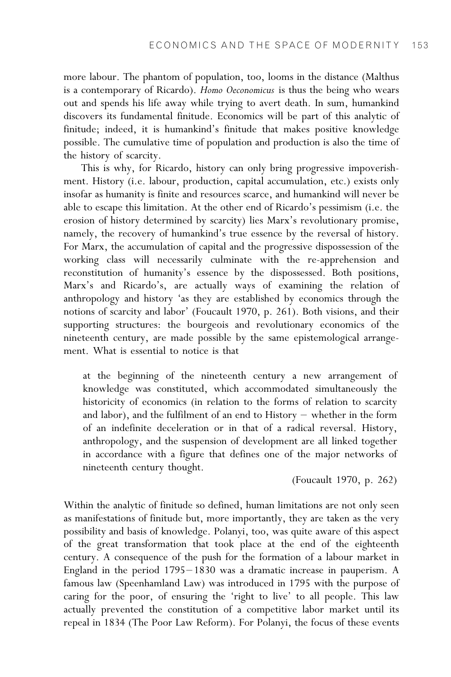more labour. The phantom of population, too, looms in the distance (Malthus is a contemporary of Ricardo). Homo Oeconomicus is thus the being who wears out and spends his life away while trying to avert death. In sum, humankind discovers its fundamental finitude. Economics will be part of this analytic of finitude; indeed, it is humankind's finitude that makes positive knowledge possible. The cumulative time of population and production is also the time of the history of scarcity.

This is why, for Ricardo, history can only bring progressive impoverishment. History (i.e. labour, production, capital accumulation, etc.) exists only insofar as humanity is finite and resources scarce, and humankind will never be able to escape this limitation. At the other end of Ricardo's pessimism (i.e. the erosion of history determined by scarcity) lies Marx's revolutionary promise, namely, the recovery of humankind's true essence by the reversal of history. For Marx, the accumulation of capital and the progressive dispossession of the working class will necessarily culminate with the re-apprehension and reconstitution of humanity's essence by the dispossessed. Both positions, Marx's and Ricardo's, are actually ways of examining the relation of anthropology and history 'as they are established by economics through the notions of scarcity and labor' (Foucault 1970, p. 261). Both visions, and their supporting structures: the bourgeois and revolutionary economics of the nineteenth century, are made possible by the same epistemological arrangement. What is essential to notice is that

at the beginning of the nineteenth century a new arrangement of knowledge was constituted, which accommodated simultaneously the historicity of economics (in relation to the forms of relation to scarcity and labor), and the fulfilment of an end to History  $-$  whether in the form of an indefinite deceleration or in that of a radical reversal. History, anthropology, and the suspension of development are all linked together in accordance with a figure that defines one of the major networks of nineteenth century thought.

(Foucault 1970, p. 262)

Within the analytic of finitude so defined, human limitations are not only seen as manifestations of finitude but, more importantly, they are taken as the very possibility and basis of knowledge. Polanyi, too, was quite aware of this aspect of the great transformation that took place at the end of the eighteenth century. A consequence of the push for the formation of a labour market in England in the period  $1795-1830$  was a dramatic increase in pauperism. A famous law (Speenhamland Law) was introduced in 1795 with the purpose of caring for the poor, of ensuring the 'right to live' to all people. This law actually prevented the constitution of a competitive labor market until its repeal in 1834 (The Poor Law Reform). For Polanyi, the focus of these events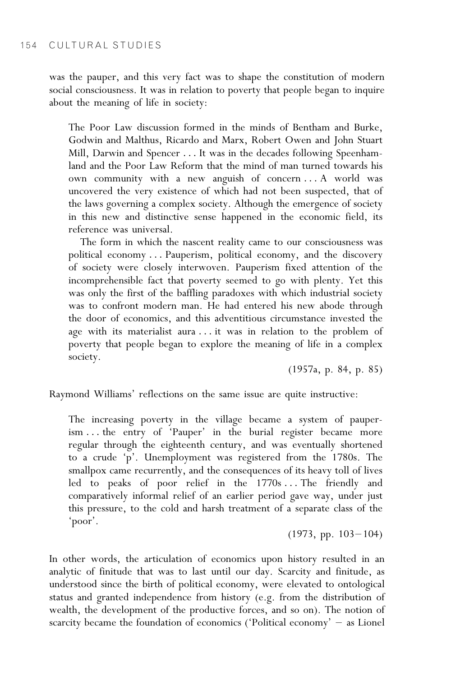was the pauper, and this very fact was to shape the constitution of modern social consciousness. It was in relation to poverty that people began to inquire about the meaning of life in society:

The Poor Law discussion formed in the minds of Bentham and Burke, Godwin and Malthus, Ricardo and Marx, Robert Owen and John Stuart Mill, Darwin and Spencer ... It was in the decades following Speenhamland and the Poor Law Reform that the mind of man turned towards his own community with a new anguish of concern ... A world was uncovered the very existence of which had not been suspected, that of the laws governing a complex society. Although the emergence of society in this new and distinctive sense happened in the economic field, its reference was universal.

The form in which the nascent reality came to our consciousness was political economy ... Pauperism, political economy, and the discovery of society were closely interwoven. Pauperism fixed attention of the incomprehensible fact that poverty seemed to go with plenty. Yet this was only the first of the baffling paradoxes with which industrial society was to confront modern man. He had entered his new abode through the door of economics, and this adventitious circumstance invested the age with its materialist aura ... it was in relation to the problem of poverty that people began to explore the meaning of life in a complex society.

(1957a, p. 84, p. 85)

Raymond Williams' reflections on the same issue are quite instructive:

The increasing poverty in the village became a system of pauperism ... the entry of 'Pauper' in the burial register became more regular through the eighteenth century, and was eventually shortened to a crude 'p'. Unemployment was registered from the 1780s. The smallpox came recurrently, and the consequences of its heavy toll of lives led to peaks of poor relief in the 1770s ... The friendly and comparatively informal relief of an earlier period gave way, under just this pressure, to the cold and harsh treatment of a separate class of the 'poor'.

 $(1973, pp. 103-104)$ 

In other words, the articulation of economics upon history resulted in an analytic of finitude that was to last until our day. Scarcity and finitude, as understood since the birth of political economy, were elevated to ontological status and granted independence from history (e.g. from the distribution of wealth, the development of the productive forces, and so on). The notion of scarcity became the foundation of economics ('Political economy'  $-$  as Lionel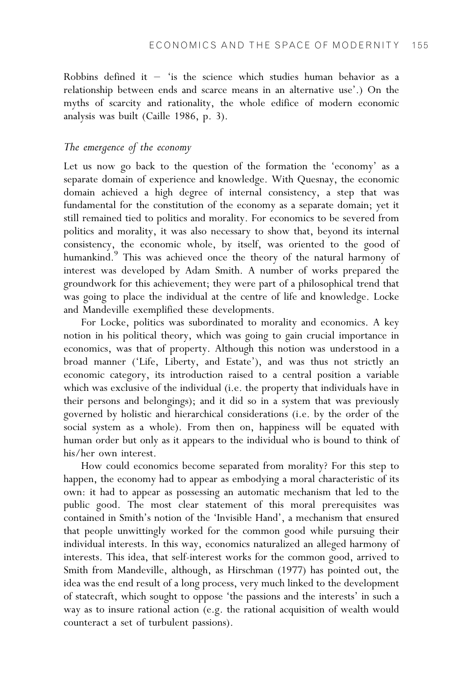Robbins defined it  $-$  'is the science which studies human behavior as a relationship between ends and scarce means in an alternative use'.) On the myths of scarcity and rationality, the whole edifice of modern economic analysis was built (Caille 1986, p. 3).

#### The emergence of the economy

Let us now go back to the question of the formation the 'economy' as a separate domain of experience and knowledge. With Quesnay, the economic domain achieved a high degree of internal consistency, a step that was fundamental for the constitution of the economy as a separate domain; yet it still remained tied to politics and morality. For economics to be severed from politics and morality, it was also necessary to show that, beyond its internal consistency, the economic whole, by itself, was oriented to the good of humankind.<sup>9</sup> This was achieved once the theory of the natural harmony of interest was developed by Adam Smith. A number of works prepared the groundwork for this achievement; they were part of a philosophical trend that was going to place the individual at the centre of life and knowledge. Locke and Mandeville exemplified these developments.

For Locke, politics was subordinated to morality and economics. A key notion in his political theory, which was going to gain crucial importance in economics, was that of property. Although this notion was understood in a broad manner ('Life, Liberty, and Estate'), and was thus not strictly an economic category, its introduction raised to a central position a variable which was exclusive of the individual (i.e. the property that individuals have in their persons and belongings); and it did so in a system that was previously governed by holistic and hierarchical considerations (i.e. by the order of the social system as a whole). From then on, happiness will be equated with human order but only as it appears to the individual who is bound to think of his/her own interest.

How could economics become separated from morality? For this step to happen, the economy had to appear as embodying a moral characteristic of its own: it had to appear as possessing an automatic mechanism that led to the public good. The most clear statement of this moral prerequisites was contained in Smith's notion of the 'Invisible Hand', a mechanism that ensured that people unwittingly worked for the common good while pursuing their individual interests. In this way, economics naturalized an alleged harmony of interests. This idea, that self-interest works for the common good, arrived to Smith from Mandeville, although, as Hirschman (1977) has pointed out, the idea was the end result of a long process, very much linked to the development of statecraft, which sought to oppose 'the passions and the interests' in such a way as to insure rational action (e.g. the rational acquisition of wealth would counteract a set of turbulent passions).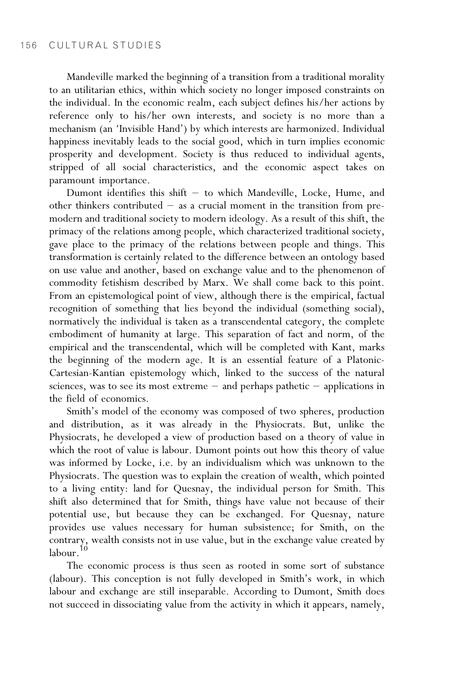Mandeville marked the beginning of a transition from a traditional morality to an utilitarian ethics, within which society no longer imposed constraints on the individual. In the economic realm, each subject defines his/her actions by reference only to his/her own interests, and society is no more than a mechanism (an 'Invisible Hand') by which interests are harmonized. Individual happiness inevitably leads to the social good, which in turn implies economic prosperity and development. Society is thus reduced to individual agents, stripped of all social characteristics, and the economic aspect takes on paramount importance.

Dumont identifies this shift  $-$  to which Mandeville, Locke, Hume, and other thinkers contributed  $-$  as a crucial moment in the transition from premodern and traditional society to modern ideology. As a result of this shift, the primacy of the relations among people, which characterized traditional society, gave place to the primacy of the relations between people and things. This transformation is certainly related to the difference between an ontology based on use value and another, based on exchange value and to the phenomenon of commodity fetishism described by Marx. We shall come back to this point. From an epistemological point of view, although there is the empirical, factual recognition of something that lies beyond the individual (something social), normatively the individual is taken as a transcendental category, the complete embodiment of humanity at large. This separation of fact and norm, of the empirical and the transcendental, which will be completed with Kant, marks the beginning of the modern age. It is an essential feature of a Platonic-Cartesian-Kantian epistemology which, linked to the success of the natural sciences, was to see its most extreme  $-$  and perhaps pathetic  $-$  applications in the field of economics.

Smith's model of the economy was composed of two spheres, production and distribution, as it was already in the Physiocrats. But, unlike the Physiocrats, he developed a view of production based on a theory of value in which the root of value is labour. Dumont points out how this theory of value was informed by Locke, i.e. by an individualism which was unknown to the Physiocrats. The question was to explain the creation of wealth, which pointed to a living entity: land for Quesnay, the individual person for Smith. This shift also determined that for Smith, things have value not because of their potential use, but because they can be exchanged. For Quesnay, nature provides use values necessary for human subsistence; for Smith, on the contrary, wealth consists not in use value, but in the exchange value created by labour.<sup>10</sup>

The economic process is thus seen as rooted in some sort of substance (labour). This conception is not fully developed in Smith's work, in which labour and exchange are still inseparable. According to Dumont, Smith does not succeed in dissociating value from the activity in which it appears, namely,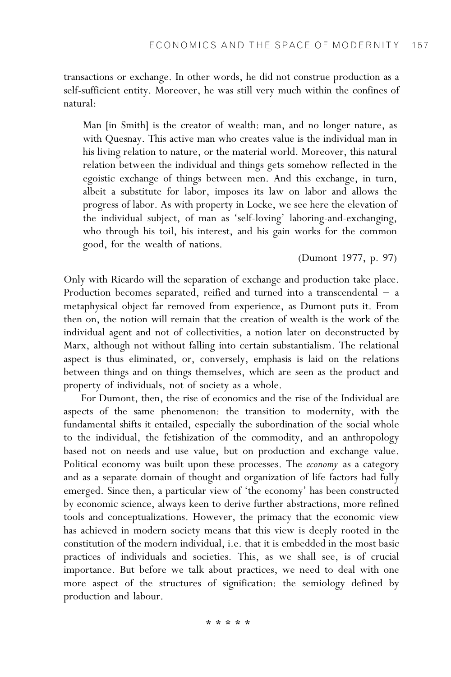transactions or exchange. In other words, he did not construe production as a self-sufficient entity. Moreover, he was still very much within the confines of natural:

Man [in Smith] is the creator of wealth: man, and no longer nature, as with Quesnay. This active man who creates value is the individual man in his living relation to nature, or the material world. Moreover, this natural relation between the individual and things gets somehow reflected in the egoistic exchange of things between men. And this exchange, in turn, albeit a substitute for labor, imposes its law on labor and allows the progress of labor. As with property in Locke, we see here the elevation of the individual subject, of man as 'self-loving' laboring-and-exchanging, who through his toil, his interest, and his gain works for the common good, for the wealth of nations.

(Dumont 1977, p. 97)

Only with Ricardo will the separation of exchange and production take place. Production becomes separated, reified and turned into a transcendental  $-$  a metaphysical object far removed from experience, as Dumont puts it. From then on, the notion will remain that the creation of wealth is the work of the individual agent and not of collectivities, a notion later on deconstructed by Marx, although not without falling into certain substantialism. The relational aspect is thus eliminated, or, conversely, emphasis is laid on the relations between things and on things themselves, which are seen as the product and property of individuals, not of society as a whole.

For Dumont, then, the rise of economics and the rise of the Individual are aspects of the same phenomenon: the transition to modernity, with the fundamental shifts it entailed, especially the subordination of the social whole to the individual, the fetishization of the commodity, and an anthropology based not on needs and use value, but on production and exchange value. Political economy was built upon these processes. The economy as a category and as a separate domain of thought and organization of life factors had fully emerged. Since then, a particular view of 'the economy' has been constructed by economic science, always keen to derive further abstractions, more refined tools and conceptualizations. However, the primacy that the economic view has achieved in modern society means that this view is deeply rooted in the constitution of the modern individual, i.e. that it is embedded in the most basic practices of individuals and societies. This, as we shall see, is of crucial importance. But before we talk about practices, we need to deal with one more aspect of the structures of signification: the semiology defined by production and labour.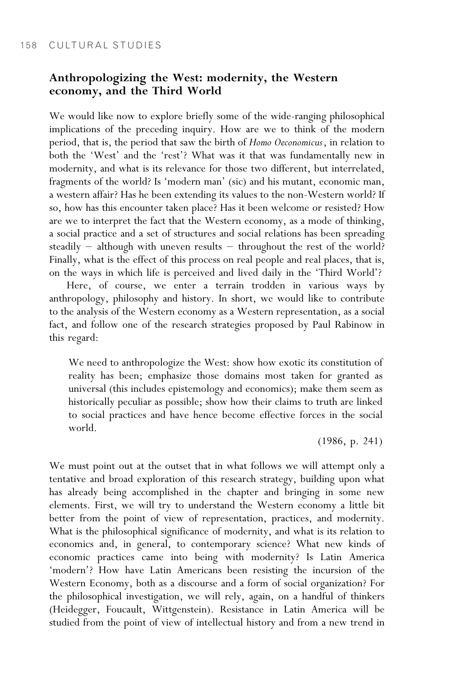### Anthropologizing the West: modernity, the Western economy, and the Third World

We would like now to explore briefly some of the wide-ranging philosophical implications of the preceding inquiry. How are we to think of the modern period, that is, the period that saw the birth of Homo Oeconomicus, in relation to both the 'West' and the 'rest'? What was it that was fundamentally new in modernity, and what is its relevance for those two different, but interrelated, fragments of the world? Is 'modern man' (sic) and his mutant, economic man, a western affair? Has he been extending its values to the non-Western world? If so, how has this encounter taken place? Has it been welcome or resisted? How are we to interpret the fact that the Western economy, as a mode of thinking, a social practice and a set of structures and social relations has been spreading steadily  $-$  although with uneven results  $-$  throughout the rest of the world? Finally, what is the effect of this process on real people and real places, that is, on the ways in which life is perceived and lived daily in the 'Third World'?

Here, of course, we enter a terrain trodden in various ways by anthropology, philosophy and history. In short, we would like to contribute to the analysis of the Western economy as a Western representation, as a social fact, and follow one of the research strategies proposed by Paul Rabinow in this regard:

We need to anthropologize the West: show how exotic its constitution of reality has been; emphasize those domains most taken for granted as universal (this includes epistemology and economics); make them seem as historically peculiar as possible; show how their claims to truth are linked to social practices and have hence become effective forces in the social world.

(1986, p. 241)

We must point out at the outset that in what follows we will attempt only a tentative and broad exploration of this research strategy, building upon what has already being accomplished in the chapter and bringing in some new elements. First, we will try to understand the Western economy a little bit better from the point of view of representation, practices, and modernity. What is the philosophical significance of modernity, and what is its relation to economics and, in general, to contemporary science? What new kinds of economic practices came into being with modernity? Is Latin America 'modern'? How have Latin Americans been resisting the incursion of the Western Economy, both as a discourse and a form of social organization? For the philosophical investigation, we will rely, again, on a handful of thinkers (Heidegger, Foucault, Wittgenstein). Resistance in Latin America will be studied from the point of view of intellectual history and from a new trend in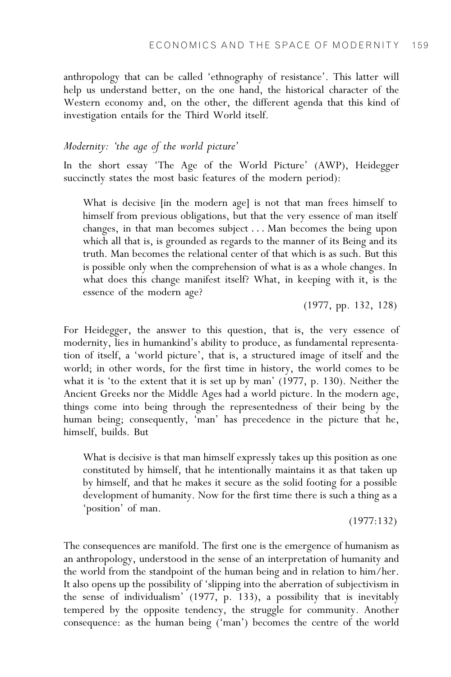anthropology that can be called 'ethnography of resistance'. This latter will help us understand better, on the one hand, the historical character of the Western economy and, on the other, the different agenda that this kind of investigation entails for the Third World itself.

#### Modernity: 'the age of the world picture'

In the short essay 'The Age of the World Picture' (AWP), Heidegger succinctly states the most basic features of the modern period):

What is decisive [in the modern age] is not that man frees himself to himself from previous obligations, but that the very essence of man itself changes, in that man becomes subject ... Man becomes the being upon which all that is, is grounded as regards to the manner of its Being and its truth. Man becomes the relational center of that which is as such. But this is possible only when the comprehension of what is as a whole changes. In what does this change manifest itself? What, in keeping with it, is the essence of the modern age?

(1977, pp. 132, 128)

For Heidegger, the answer to this question, that is, the very essence of modernity, lies in humankind's ability to produce, as fundamental representation of itself, a 'world picture', that is, a structured image of itself and the world; in other words, for the first time in history, the world comes to be what it is 'to the extent that it is set up by man' (1977, p. 130). Neither the Ancient Greeks nor the Middle Ages had a world picture. In the modern age, things come into being through the representedness of their being by the human being; consequently, 'man' has precedence in the picture that he, himself, builds. But

What is decisive is that man himself expressly takes up this position as one constituted by himself, that he intentionally maintains it as that taken up by himself, and that he makes it secure as the solid footing for a possible development of humanity. Now for the first time there is such a thing as a 'position' of man.

(1977:132)

The consequences are manifold. The first one is the emergence of humanism as an anthropology, understood in the sense of an interpretation of humanity and the world from the standpoint of the human being and in relation to him/her. It also opens up the possibility of 'slipping into the aberration of subjectivism in the sense of individualism' (1977, p. 133), a possibility that is inevitably tempered by the opposite tendency, the struggle for community. Another consequence: as the human being ('man') becomes the centre of the world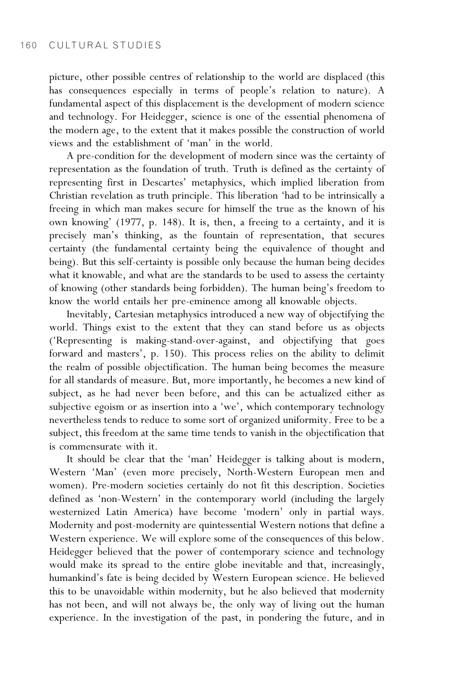picture, other possible centres of relationship to the world are displaced (this has consequences especially in terms of people's relation to nature). A fundamental aspect of this displacement is the development of modern science and technology. For Heidegger, science is one of the essential phenomena of the modern age, to the extent that it makes possible the construction of world views and the establishment of 'man' in the world.

A pre-condition for the development of modern since was the certainty of representation as the foundation of truth. Truth is defined as the certainty of representing first in Descartes' metaphysics, which implied liberation from Christian revelation as truth principle. This liberation 'had to be intrinsically a freeing in which man makes secure for himself the true as the known of his own knowing' (1977, p. 148). It is, then, a freeing to a certainty, and it is precisely man's thinking, as the fountain of representation, that secures certainty (the fundamental certainty being the equivalence of thought and being). But this self-certainty is possible only because the human being decides what it knowable, and what are the standards to be used to assess the certainty of knowing (other standards being forbidden). The human being's freedom to know the world entails her pre-eminence among all knowable objects.

Inevitably, Cartesian metaphysics introduced a new way of objectifying the world. Things exist to the extent that they can stand before us as objects ('Representing is making-stand-over-against, and objectifying that goes forward and masters', p. 150). This process relies on the ability to delimit the realm of possible objectification. The human being becomes the measure for all standards of measure. But, more importantly, he becomes a new kind of subject, as he had never been before, and this can be actualized either as subjective egoism or as insertion into a 'we', which contemporary technology nevertheless tends to reduce to some sort of organized uniformity. Free to be a subject, this freedom at the same time tends to vanish in the objectification that is commensurate with it.

It should be clear that the 'man' Heidegger is talking about is modern, Western 'Man' (even more precisely, North-Western European men and women). Pre-modern societies certainly do not fit this description. Societies defined as 'non-Western' in the contemporary world (including the largely westernized Latin America) have become 'modern' only in partial ways. Modernity and post-modernity are quintessential Western notions that define a Western experience. We will explore some of the consequences of this below. Heidegger believed that the power of contemporary science and technology would make its spread to the entire globe inevitable and that, increasingly, humankind's fate is being decided by Western European science. He believed this to be unavoidable within modernity, but he also believed that modernity has not been, and will not always be, the only way of living out the human experience. In the investigation of the past, in pondering the future, and in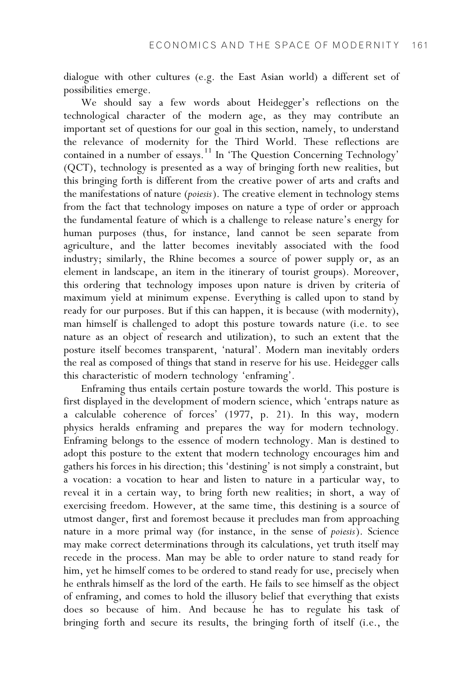dialogue with other cultures (e.g. the East Asian world) a different set of possibilities emerge.

We should say a few words about Heidegger's reflections on the technological character of the modern age, as they may contribute an important set of questions for our goal in this section, namely, to understand the relevance of modernity for the Third World. These reflections are contained in a number of essays.<sup>11</sup> In 'The Question Concerning Technology' (QCT), technology is presented as a way of bringing forth new realities, but this bringing forth is different from the creative power of arts and crafts and the manifestations of nature (poiesis). The creative element in technology stems from the fact that technology imposes on nature a type of order or approach the fundamental feature of which is a challenge to release nature's energy for human purposes (thus, for instance, land cannot be seen separate from agriculture, and the latter becomes inevitably associated with the food industry; similarly, the Rhine becomes a source of power supply or, as an element in landscape, an item in the itinerary of tourist groups). Moreover, this ordering that technology imposes upon nature is driven by criteria of maximum yield at minimum expense. Everything is called upon to stand by ready for our purposes. But if this can happen, it is because (with modernity), man himself is challenged to adopt this posture towards nature (i.e. to see nature as an object of research and utilization), to such an extent that the posture itself becomes transparent, 'natural'. Modern man inevitably orders the real as composed of things that stand in reserve for his use. Heidegger calls this characteristic of modern technology 'enframing'.

Enframing thus entails certain posture towards the world. This posture is first displayed in the development of modern science, which 'entraps nature as a calculable coherence of forces' (1977, p. 21). In this way, modern physics heralds enframing and prepares the way for modern technology. Enframing belongs to the essence of modern technology. Man is destined to adopt this posture to the extent that modern technology encourages him and gathers his forces in his direction; this 'destining' is not simply a constraint, but a vocation: a vocation to hear and listen to nature in a particular way, to reveal it in a certain way, to bring forth new realities; in short, a way of exercising freedom. However, at the same time, this destining is a source of utmost danger, first and foremost because it precludes man from approaching nature in a more primal way (for instance, in the sense of poiesis). Science may make correct determinations through its calculations, yet truth itself may recede in the process. Man may be able to order nature to stand ready for him, yet he himself comes to be ordered to stand ready for use, precisely when he enthrals himself as the lord of the earth. He fails to see himself as the object of enframing, and comes to hold the illusory belief that everything that exists does so because of him. And because he has to regulate his task of bringing forth and secure its results, the bringing forth of itself (i.e., the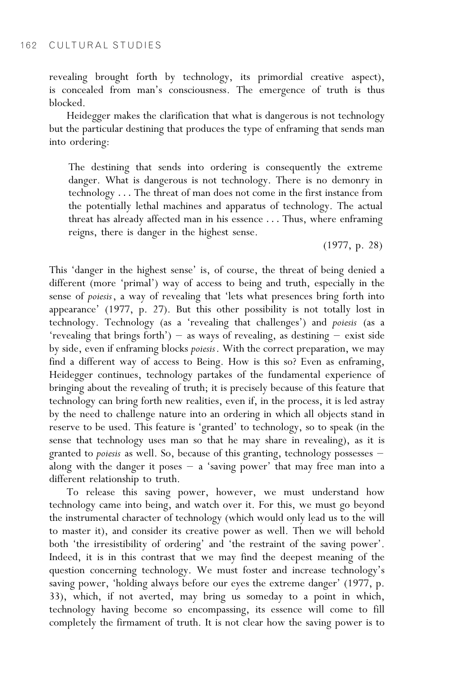revealing brought forth by technology, its primordial creative aspect), is concealed from man's consciousness. The emergence of truth is thus blocked.

Heidegger makes the clarification that what is dangerous is not technology but the particular destining that produces the type of enframing that sends man into ordering:

The destining that sends into ordering is consequently the extreme danger. What is dangerous is not technology. There is no demonry in technology ... The threat of man does not come in the first instance from the potentially lethal machines and apparatus of technology. The actual threat has already affected man in his essence ... Thus, where enframing reigns, there is danger in the highest sense.

(1977, p. 28)

This 'danger in the highest sense' is, of course, the threat of being denied a different (more 'primal') way of access to being and truth, especially in the sense of poiesis, a way of revealing that 'lets what presences bring forth into appearance' (1977, p. 27). But this other possibility is not totally lost in technology. Technology (as a 'revealing that challenges') and poiesis (as a 'revealing that brings forth') – as ways of revealing, as destining – exist side by side, even if enframing blocks poiesis. With the correct preparation, we may find a different way of access to Being. How is this so? Even as enframing, Heidegger continues, technology partakes of the fundamental experience of bringing about the revealing of truth; it is precisely because of this feature that technology can bring forth new realities, even if, in the process, it is led astray by the need to challenge nature into an ordering in which all objects stand in reserve to be used. This feature is 'granted' to technology, so to speak (in the sense that technology uses man so that he may share in revealing), as it is granted to poiesis as well. So, because of this granting, technology possesses along with the danger it poses  $-$  a 'saving power' that may free man into a different relationship to truth.

To release this saving power, however, we must understand how technology came into being, and watch over it. For this, we must go beyond the instrumental character of technology (which would only lead us to the will to master it), and consider its creative power as well. Then we will behold both 'the irresistibility of ordering' and 'the restraint of the saving power'. Indeed, it is in this contrast that we may find the deepest meaning of the question concerning technology. We must foster and increase technology's saving power, 'holding always before our eyes the extreme danger' (1977, p. 33), which, if not averted, may bring us someday to a point in which, technology having become so encompassing, its essence will come to fill completely the firmament of truth. It is not clear how the saving power is to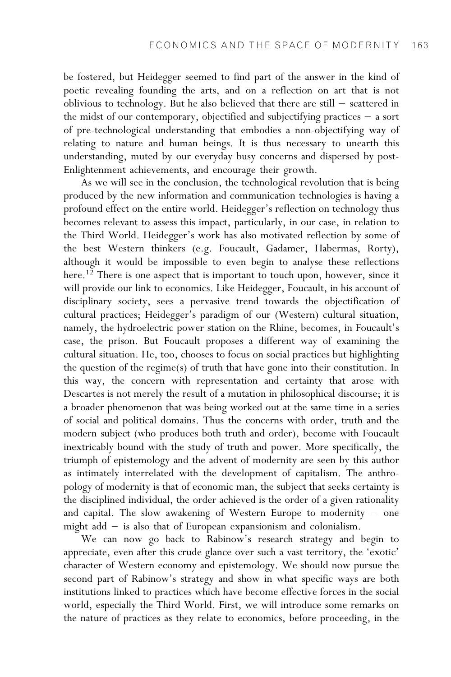be fostered, but Heidegger seemed to find part of the answer in the kind of poetic revealing founding the arts, and on a reflection on art that is not oblivious to technology. But he also believed that there are still  $-$  scattered in the midst of our contemporary, objectified and subjectifying practices  $-$  a sort of pre-technological understanding that embodies a non-objectifying way of relating to nature and human beings. It is thus necessary to unearth this understanding, muted by our everyday busy concerns and dispersed by post-Enlightenment achievements, and encourage their growth.

As we will see in the conclusion, the technological revolution that is being produced by the new information and communication technologies is having a profound effect on the entire world. Heidegger's reflection on technology thus becomes relevant to assess this impact, particularly, in our case, in relation to the Third World. Heidegger's work has also motivated reflection by some of the best Western thinkers (e.g. Foucault, Gadamer, Habermas, Rorty), although it would be impossible to even begin to analyse these reflections here.<sup>12</sup> There is one aspect that is important to touch upon, however, since it will provide our link to economics. Like Heidegger, Foucault, in his account of disciplinary society, sees a pervasive trend towards the objectification of cultural practices; Heidegger's paradigm of our (Western) cultural situation, namely, the hydroelectric power station on the Rhine, becomes, in Foucault's case, the prison. But Foucault proposes a different way of examining the cultural situation. He, too, chooses to focus on social practices but highlighting the question of the regime(s) of truth that have gone into their constitution. In this way, the concern with representation and certainty that arose with Descartes is not merely the result of a mutation in philosophical discourse; it is a broader phenomenon that was being worked out at the same time in a series of social and political domains. Thus the concerns with order, truth and the modern subject (who produces both truth and order), become with Foucault inextricably bound with the study of truth and power. More specifically, the triumph of epistemology and the advent of modernity are seen by this author as intimately interrelated with the development of capitalism. The anthropology of modernity is that of economic man, the subject that seeks certainty is the disciplined individual, the order achieved is the order of a given rationality and capital. The slow awakening of Western Europe to modernity  $-$  one might  $add - is also that of European expansionism and colonialism.$ 

We can now go back to Rabinow's research strategy and begin to appreciate, even after this crude glance over such a vast territory, the 'exotic' character of Western economy and epistemology. We should now pursue the second part of Rabinow's strategy and show in what specific ways are both institutions linked to practices which have become effective forces in the social world, especially the Third World. First, we will introduce some remarks on the nature of practices as they relate to economics, before proceeding, in the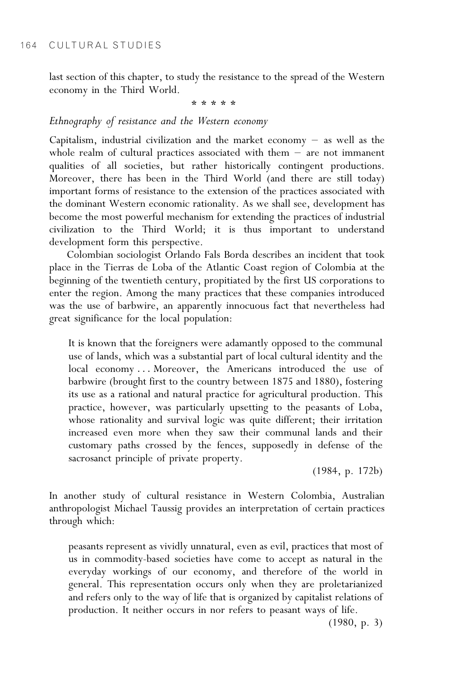last section of this chapter, to study the resistance to the spread of the Western economy in the Third World.

#### +++++

## Ethnography of resistance and the Western economy

Capitalism, industrial civilization and the market economy  $-$  as well as the whole realm of cultural practices associated with them  $-$  are not immanent qualities of all societies, but rather historically contingent productions. Moreover, there has been in the Third World (and there are still today) important forms of resistance to the extension of the practices associated with the dominant Western economic rationality. As we shall see, development has become the most powerful mechanism for extending the practices of industrial civilization to the Third World; it is thus important to understand development form this perspective.

Colombian sociologist Orlando Fals Borda describes an incident that took place in the Tierras de Loba of the Atlantic Coast region of Colombia at the beginning of the twentieth century, propitiated by the first US corporations to enter the region. Among the many practices that these companies introduced was the use of barbwire, an apparently innocuous fact that nevertheless had great significance for the local population:

It is known that the foreigners were adamantly opposed to the communal use of lands, which was a substantial part of local cultural identity and the local economy ... Moreover, the Americans introduced the use of barbwire (brought first to the country between 1875 and 1880), fostering its use as a rational and natural practice for agricultural production. This practice, however, was particularly upsetting to the peasants of Loba, whose rationality and survival logic was quite different; their irritation increased even more when they saw their communal lands and their customary paths crossed by the fences, supposedly in defense of the sacrosanct principle of private property.

(1984, p. 172b)

In another study of cultural resistance in Western Colombia, Australian anthropologist Michael Taussig provides an interpretation of certain practices through which:

peasants represent as vividly unnatural, even as evil, practices that most of us in commodity-based societies have come to accept as natural in the everyday workings of our economy, and therefore of the world in general. This representation occurs only when they are proletarianized and refers only to the way of life that is organized by capitalist relations of production. It neither occurs in nor refers to peasant ways of life.

(1980, p. 3)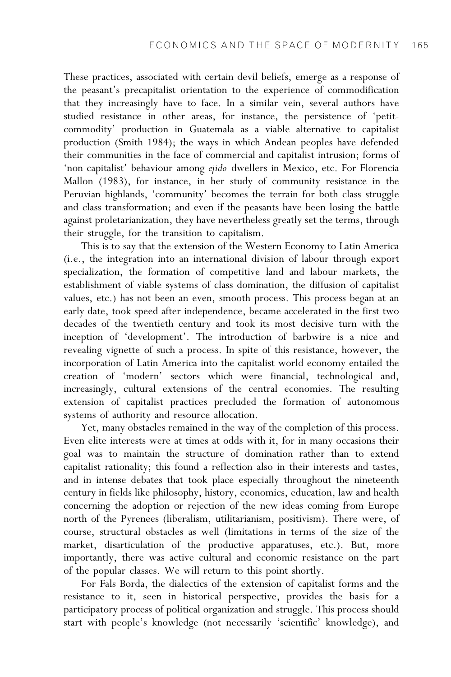These practices, associated with certain devil beliefs, emerge as a response of the peasant's precapitalist orientation to the experience of commodification that they increasingly have to face. In a similar vein, several authors have studied resistance in other areas, for instance, the persistence of 'petitcommodity' production in Guatemala as a viable alternative to capitalist production (Smith 1984); the ways in which Andean peoples have defended their communities in the face of commercial and capitalist intrusion; forms of 'non-capitalist' behaviour among ejido dwellers in Mexico, etc. For Florencia Mallon (1983), for instance, in her study of community resistance in the Peruvian highlands, 'community' becomes the terrain for both class struggle and class transformation; and even if the peasants have been losing the battle against proletarianization, they have nevertheless greatly set the terms, through their struggle, for the transition to capitalism.

This is to say that the extension of the Western Economy to Latin America (i.e., the integration into an international division of labour through export specialization, the formation of competitive land and labour markets, the establishment of viable systems of class domination, the diffusion of capitalist values, etc.) has not been an even, smooth process. This process began at an early date, took speed after independence, became accelerated in the first two decades of the twentieth century and took its most decisive turn with the inception of 'development'. The introduction of barbwire is a nice and revealing vignette of such a process. In spite of this resistance, however, the incorporation of Latin America into the capitalist world economy entailed the creation of 'modern' sectors which were financial, technological and, increasingly, cultural extensions of the central economies. The resulting extension of capitalist practices precluded the formation of autonomous systems of authority and resource allocation.

Yet, many obstacles remained in the way of the completion of this process. Even elite interests were at times at odds with it, for in many occasions their goal was to maintain the structure of domination rather than to extend capitalist rationality; this found a reflection also in their interests and tastes, and in intense debates that took place especially throughout the nineteenth century in fields like philosophy, history, economics, education, law and health concerning the adoption or rejection of the new ideas coming from Europe north of the Pyrenees (liberalism, utilitarianism, positivism). There were, of course, structural obstacles as well (limitations in terms of the size of the market, disarticulation of the productive apparatuses, etc.). But, more importantly, there was active cultural and economic resistance on the part of the popular classes. We will return to this point shortly.

For Fals Borda, the dialectics of the extension of capitalist forms and the resistance to it, seen in historical perspective, provides the basis for a participatory process of political organization and struggle. This process should start with people's knowledge (not necessarily 'scientific' knowledge), and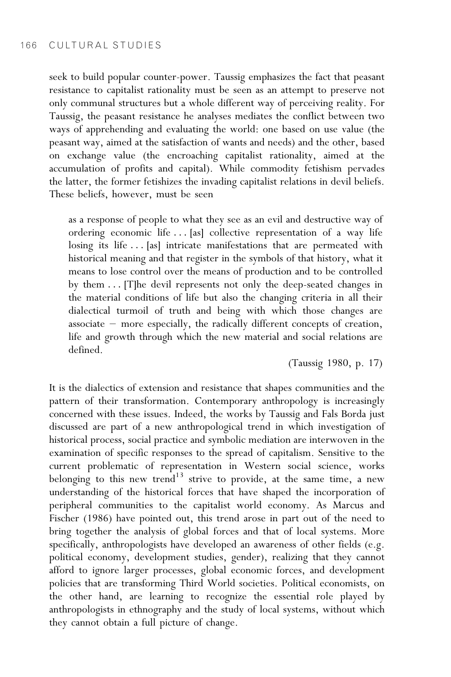seek to build popular counter-power. Taussig emphasizes the fact that peasant resistance to capitalist rationality must be seen as an attempt to preserve not only communal structures but a whole different way of perceiving reality. For Taussig, the peasant resistance he analyses mediates the conflict between two ways of apprehending and evaluating the world: one based on use value (the peasant way, aimed at the satisfaction of wants and needs) and the other, based on exchange value (the encroaching capitalist rationality, aimed at the accumulation of profits and capital). While commodity fetishism pervades the latter, the former fetishizes the invading capitalist relations in devil beliefs. These beliefs, however, must be seen

as a response of people to what they see as an evil and destructive way of ordering economic life ... [as] collective representation of a way life losing its life ... [as] intricate manifestations that are permeated with historical meaning and that register in the symbols of that history, what it means to lose control over the means of production and to be controlled by them ... [T]he devil represents not only the deep-seated changes in the material conditions of life but also the changing criteria in all their dialectical turmoil of truth and being with which those changes are associate  $-$  more especially, the radically different concepts of creation, life and growth through which the new material and social relations are defined.

(Taussig 1980, p. 17)

It is the dialectics of extension and resistance that shapes communities and the pattern of their transformation. Contemporary anthropology is increasingly concerned with these issues. Indeed, the works by Taussig and Fals Borda just discussed are part of a new anthropological trend in which investigation of historical process, social practice and symbolic mediation are interwoven in the examination of specific responses to the spread of capitalism. Sensitive to the current problematic of representation in Western social science, works belonging to this new trend<sup>13</sup> strive to provide, at the same time, a new understanding of the historical forces that have shaped the incorporation of peripheral communities to the capitalist world economy. As Marcus and Fischer (1986) have pointed out, this trend arose in part out of the need to bring together the analysis of global forces and that of local systems. More specifically, anthropologists have developed an awareness of other fields (e.g. political economy, development studies, gender), realizing that they cannot afford to ignore larger processes, global economic forces, and development policies that are transforming Third World societies. Political economists, on the other hand, are learning to recognize the essential role played by anthropologists in ethnography and the study of local systems, without which they cannot obtain a full picture of change.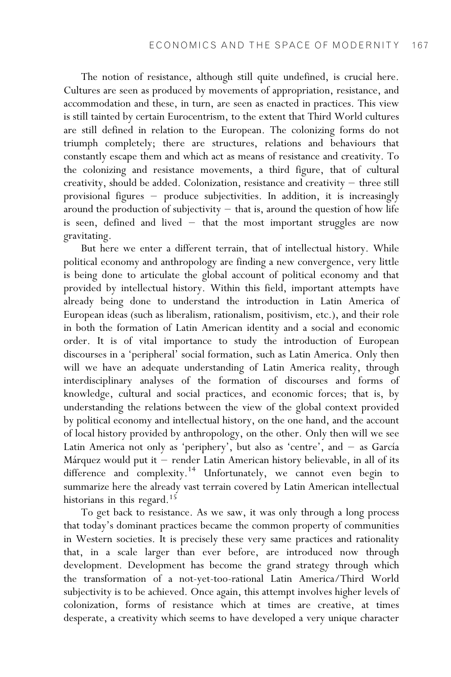The notion of resistance, although still quite undefined, is crucial here. Cultures are seen as produced by movements of appropriation, resistance, and accommodation and these, in turn, are seen as enacted in practices. This view is still tainted by certain Eurocentrism, to the extent that Third World cultures are still defined in relation to the European. The colonizing forms do not triumph completely; there are structures, relations and behaviours that constantly escape them and which act as means of resistance and creativity. To the colonizing and resistance movements, a third figure, that of cultural creativity, should be added. Colonization, resistance and creativity  $-$  three still provisional figures - produce subjectivities. In addition, it is increasingly around the production of subjectivity  $-$  that is, around the question of how life is seen, defined and lived  $-$  that the most important struggles are now gravitating.

But here we enter a different terrain, that of intellectual history. While political economy and anthropology are finding a new convergence, very little is being done to articulate the global account of political economy and that provided by intellectual history. Within this field, important attempts have already being done to understand the introduction in Latin America of European ideas (such as liberalism, rationalism, positivism, etc.), and their role in both the formation of Latin American identity and a social and economic order. It is of vital importance to study the introduction of European discourses in a 'peripheral' social formation, such as Latin America. Only then will we have an adequate understanding of Latin America reality, through interdisciplinary analyses of the formation of discourses and forms of knowledge, cultural and social practices, and economic forces; that is, by understanding the relations between the view of the global context provided by political economy and intellectual history, on the one hand, and the account of local history provided by anthropology, on the other. Only then will we see Latin America not only as 'periphery', but also as 'centre', and  $-$  as García Marquez would put it  $-$  render Latin American history believable, in all of its difference and complexity.<sup>14</sup> Unfortunately, we cannot even begin to summarize here the already vast terrain covered by Latin American intellectual historians in this regard.<sup>15</sup>

To get back to resistance. As we saw, it was only through a long process that today's dominant practices became the common property of communities in Western societies. It is precisely these very same practices and rationality that, in a scale larger than ever before, are introduced now through development. Development has become the grand strategy through which the transformation of a not-yet-too-rational Latin America/Third World subjectivity is to be achieved. Once again, this attempt involves higher levels of colonization, forms of resistance which at times are creative, at times desperate, a creativity which seems to have developed a very unique character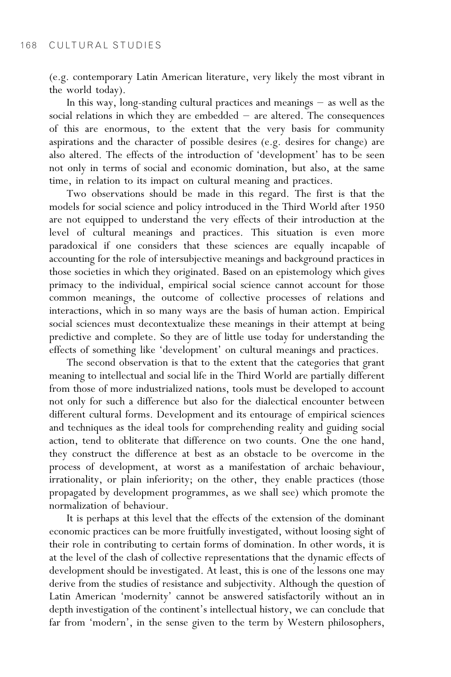(e.g. contemporary Latin American literature, very likely the most vibrant in the world today).

In this way, long-standing cultural practices and meanings  $-$  as well as the social relations in which they are embedded  $-$  are altered. The consequences of this are enormous, to the extent that the very basis for community aspirations and the character of possible desires (e.g. desires for change) are also altered. The effects of the introduction of 'development' has to be seen not only in terms of social and economic domination, but also, at the same time, in relation to its impact on cultural meaning and practices.

Two observations should be made in this regard. The first is that the models for social science and policy introduced in the Third World after 1950 are not equipped to understand the very effects of their introduction at the level of cultural meanings and practices. This situation is even more paradoxical if one considers that these sciences are equally incapable of accounting for the role of intersubjective meanings and background practices in those societies in which they originated. Based on an epistemology which gives primacy to the individual, empirical social science cannot account for those common meanings, the outcome of collective processes of relations and interactions, which in so many ways are the basis of human action. Empirical social sciences must decontextualize these meanings in their attempt at being predictive and complete. So they are of little use today for understanding the effects of something like 'development' on cultural meanings and practices.

The second observation is that to the extent that the categories that grant meaning to intellectual and social life in the Third World are partially different from those of more industrialized nations, tools must be developed to account not only for such a difference but also for the dialectical encounter between different cultural forms. Development and its entourage of empirical sciences and techniques as the ideal tools for comprehending reality and guiding social action, tend to obliterate that difference on two counts. One the one hand, they construct the difference at best as an obstacle to be overcome in the process of development, at worst as a manifestation of archaic behaviour, irrationality, or plain inferiority; on the other, they enable practices (those propagated by development programmes, as we shall see) which promote the normalization of behaviour.

It is perhaps at this level that the effects of the extension of the dominant economic practices can be more fruitfully investigated, without loosing sight of their role in contributing to certain forms of domination. In other words, it is at the level of the clash of collective representations that the dynamic effects of development should be investigated. At least, this is one of the lessons one may derive from the studies of resistance and subjectivity. Although the question of Latin American 'modernity' cannot be answered satisfactorily without an in depth investigation of the continent's intellectual history, we can conclude that far from 'modern', in the sense given to the term by Western philosophers,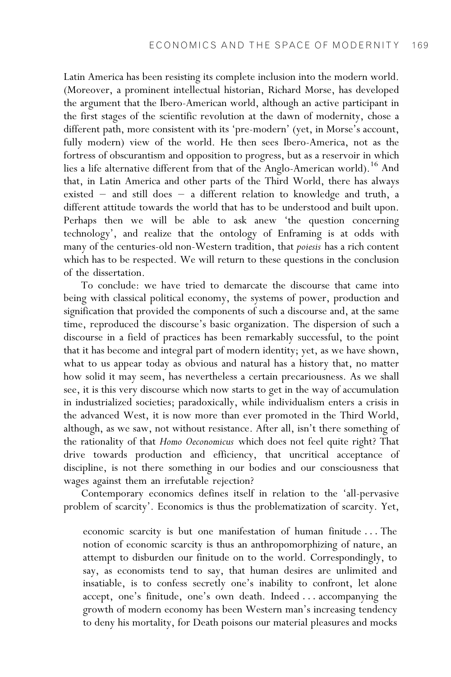Latin America has been resisting its complete inclusion into the modern world. (Moreover, a prominent intellectual historian, Richard Morse, has developed the argument that the Ibero-American world, although an active participant in the first stages of the scientific revolution at the dawn of modernity, chose a different path, more consistent with its 'pre-modern' (yet, in Morse's account, fully modern) view of the world. He then sees Ibero-America, not as the fortress of obscurantism and opposition to progress, but as a reservoir in which lies a life alternative different from that of the Anglo-American world).<sup>16</sup> And that, in Latin America and other parts of the Third World, there has always existed  $-$  and still does  $-$  a different relation to knowledge and truth, a different attitude towards the world that has to be understood and built upon. Perhaps then we will be able to ask anew 'the question concerning technology', and realize that the ontology of Enframing is at odds with many of the centuries-old non-Western tradition, that poiesis has a rich content which has to be respected. We will return to these questions in the conclusion of the dissertation.

To conclude: we have tried to demarcate the discourse that came into being with classical political economy, the systems of power, production and signification that provided the components of such a discourse and, at the same time, reproduced the discourse's basic organization. The dispersion of such a discourse in a field of practices has been remarkably successful, to the point that it has become and integral part of modern identity; yet, as we have shown, what to us appear today as obvious and natural has a history that, no matter how solid it may seem, has nevertheless a certain precariousness. As we shall see, it is this very discourse which now starts to get in the way of accumulation in industrialized societies; paradoxically, while individualism enters a crisis in the advanced West, it is now more than ever promoted in the Third World, although, as we saw, not without resistance. After all, isn't there something of the rationality of that Homo Oeconomicus which does not feel quite right? That drive towards production and efficiency, that uncritical acceptance of discipline, is not there something in our bodies and our consciousness that wages against them an irrefutable rejection?

Contemporary economics defines itself in relation to the 'all-pervasive problem of scarcity'. Economics is thus the problematization of scarcity. Yet,

economic scarcity is but one manifestation of human finitude ... The notion of economic scarcity is thus an anthropomorphizing of nature, an attempt to disburden our finitude on to the world. Correspondingly, to say, as economists tend to say, that human desires are unlimited and insatiable, is to confess secretly one's inability to confront, let alone accept, one's finitude, one's own death. Indeed ... accompanying the growth of modern economy has been Western man's increasing tendency to deny his mortality, for Death poisons our material pleasures and mocks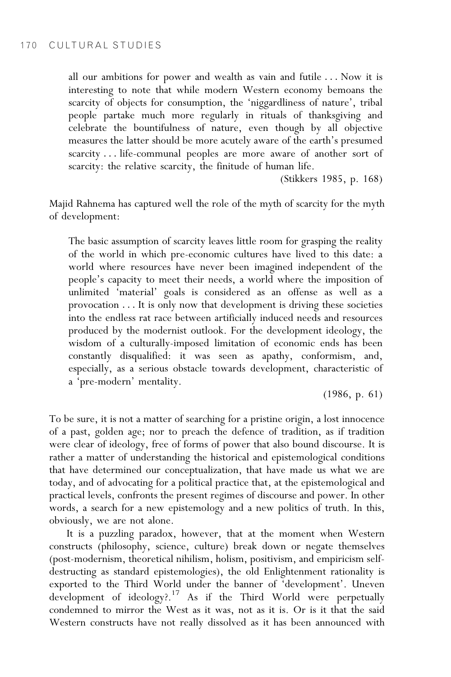all our ambitions for power and wealth as vain and futile ... Now it is interesting to note that while modern Western economy bemoans the scarcity of objects for consumption, the 'niggardliness of nature', tribal people partake much more regularly in rituals of thanksgiving and celebrate the bountifulness of nature, even though by all objective measures the latter should be more acutely aware of the earth's presumed scarcity ... life-communal peoples are more aware of another sort of scarcity: the relative scarcity, the finitude of human life.

(Stikkers 1985, p. 168)

Majid Rahnema has captured well the role of the myth of scarcity for the myth of development:

The basic assumption of scarcity leaves little room for grasping the reality of the world in which pre-economic cultures have lived to this date: a world where resources have never been imagined independent of the people's capacity to meet their needs, a world where the imposition of unlimited 'material' goals is considered as an offense as well as a provocation ... It is only now that development is driving these societies into the endless rat race between artificially induced needs and resources produced by the modernist outlook. For the development ideology, the wisdom of a culturally-imposed limitation of economic ends has been constantly disqualified: it was seen as apathy, conformism, and, especially, as a serious obstacle towards development, characteristic of a 'pre-modern' mentality.

(1986, p. 61)

To be sure, it is not a matter of searching for a pristine origin, a lost innocence of a past, golden age; nor to preach the defence of tradition, as if tradition were clear of ideology, free of forms of power that also bound discourse. It is rather a matter of understanding the historical and epistemological conditions that have determined our conceptualization, that have made us what we are today, and of advocating for a political practice that, at the epistemological and practical levels, confronts the present regimes of discourse and power. In other words, a search for a new epistemology and a new politics of truth. In this, obviously, we are not alone.

It is a puzzling paradox, however, that at the moment when Western constructs (philosophy, science, culture) break down or negate themselves (post-modernism, theoretical nihilism, holism, positivism, and empiricism selfdestructing as standard epistemologies), the old Enlightenment rationality is exported to the Third World under the banner of 'development'. Uneven development of ideology?.<sup>17</sup> As if the Third World were perpetually condemned to mirror the West as it was, not as it is. Or is it that the said Western constructs have not really dissolved as it has been announced with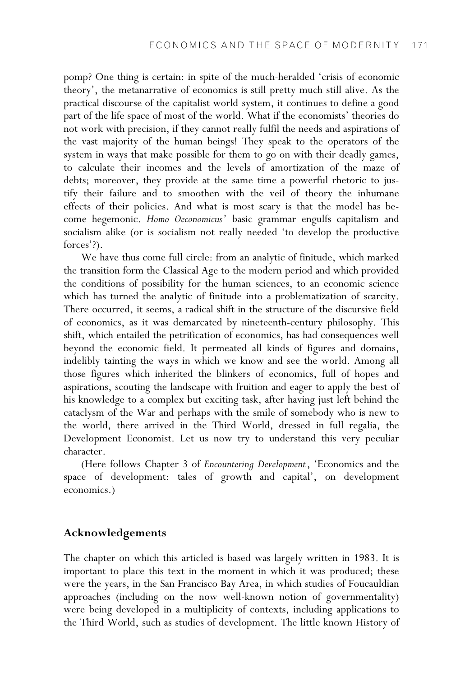pomp? One thing is certain: in spite of the much-heralded 'crisis of economic theory', the metanarrative of economics is still pretty much still alive. As the practical discourse of the capitalist world-system, it continues to define a good part of the life space of most of the world. What if the economists' theories do not work with precision, if they cannot really fulfil the needs and aspirations of the vast majority of the human beings! They speak to the operators of the system in ways that make possible for them to go on with their deadly games, to calculate their incomes and the levels of amortization of the maze of debts; moreover, they provide at the same time a powerful rhetoric to justify their failure and to smoothen with the veil of theory the inhumane effects of their policies. And what is most scary is that the model has become hegemonic. Homo Oeconomicus' basic grammar engulfs capitalism and socialism alike (or is socialism not really needed 'to develop the productive forces'?).

We have thus come full circle: from an analytic of finitude, which marked the transition form the Classical Age to the modern period and which provided the conditions of possibility for the human sciences, to an economic science which has turned the analytic of finitude into a problematization of scarcity. There occurred, it seems, a radical shift in the structure of the discursive field of economics, as it was demarcated by nineteenth-century philosophy. This shift, which entailed the petrification of economics, has had consequences well beyond the economic field. It permeated all kinds of figures and domains, indelibly tainting the ways in which we know and see the world. Among all those figures which inherited the blinkers of economics, full of hopes and aspirations, scouting the landscape with fruition and eager to apply the best of his knowledge to a complex but exciting task, after having just left behind the cataclysm of the War and perhaps with the smile of somebody who is new to the world, there arrived in the Third World, dressed in full regalia, the Development Economist. Let us now try to understand this very peculiar character.

(Here follows Chapter 3 of Encountering Development, 'Economics and the space of development: tales of growth and capital', on development economics.)

#### Acknowledgements

The chapter on which this articled is based was largely written in 1983. It is important to place this text in the moment in which it was produced; these were the years, in the San Francisco Bay Area, in which studies of Foucauldian approaches (including on the now well-known notion of governmentality) were being developed in a multiplicity of contexts, including applications to the Third World, such as studies of development. The little known History of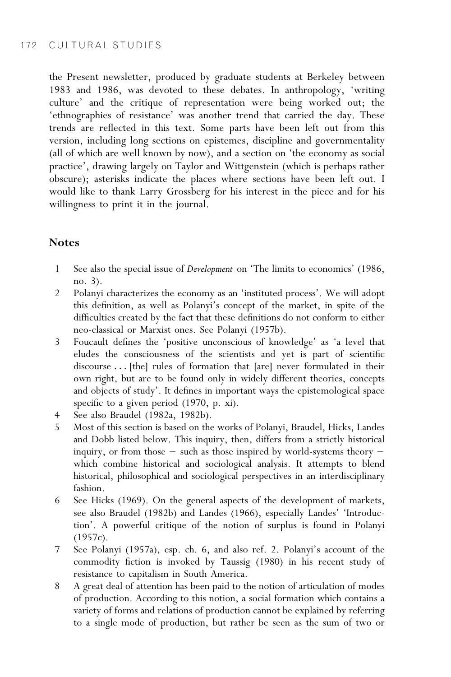the Present newsletter, produced by graduate students at Berkeley between 1983 and 1986, was devoted to these debates. In anthropology, 'writing culture' and the critique of representation were being worked out; the 'ethnographies of resistance' was another trend that carried the day. These trends are reflected in this text. Some parts have been left out from this version, including long sections on epistemes, discipline and governmentality (all of which are well known by now), and a section on 'the economy as social practice', drawing largely on Taylor and Wittgenstein (which is perhaps rather obscure); asterisks indicate the places where sections have been left out. I would like to thank Larry Grossberg for his interest in the piece and for his willingness to print it in the journal.

# Notes

- 1 See also the special issue of Development on 'The limits to economics' (1986, no. 3).
- 2 Polanyi characterizes the economy as an 'instituted process'. We will adopt this definition, as well as Polanyi's concept of the market, in spite of the difficulties created by the fact that these definitions do not conform to either neo-classical or Marxist ones. See Polanyi (1957b).
- 3 Foucault defines the 'positive unconscious of knowledge' as 'a level that eludes the consciousness of the scientists and yet is part of scientific discourse ... [the] rules of formation that [are] never formulated in their own right, but are to be found only in widely different theories, concepts and objects of study'. It defines in important ways the epistemological space specific to a given period (1970, p. xi).
- 4 See also Braudel (1982a, 1982b).
- 5 Most of this section is based on the works of Polanyi, Braudel, Hicks, Landes and Dobb listed below. This inquiry, then, differs from a strictly historical inquiry, or from those  $-$  such as those inspired by world-systems theory  $$ which combine historical and sociological analysis. It attempts to blend historical, philosophical and sociological perspectives in an interdisciplinary fashion.
- 6 See Hicks (1969). On the general aspects of the development of markets, see also Braudel (1982b) and Landes (1966), especially Landes' 'Introduction'. A powerful critique of the notion of surplus is found in Polanyi (1957c).
- 7 See Polanyi (1957a), esp. ch. 6, and also ref. 2. Polanyi's account of the commodity fiction is invoked by Taussig (1980) in his recent study of resistance to capitalism in South America.
- 8 A great deal of attention has been paid to the notion of articulation of modes of production. According to this notion, a social formation which contains a variety of forms and relations of production cannot be explained by referring to a single mode of production, but rather be seen as the sum of two or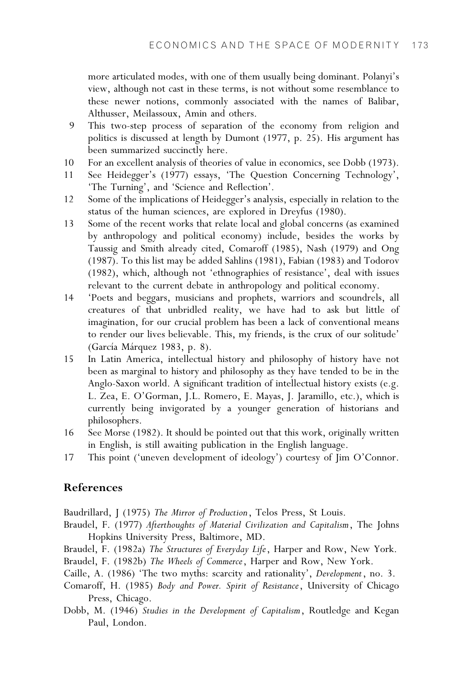more articulated modes, with one of them usually being dominant. Polanyi's view, although not cast in these terms, is not without some resemblance to these newer notions, commonly associated with the names of Balibar, Althusser, Meilassoux, Amin and others.

- 9 This two-step process of separation of the economy from religion and politics is discussed at length by Dumont (1977, p. 25). His argument has been summarized succinctly here.
- 10 For an excellent analysis of theories of value in economics, see Dobb (1973).
- 11 See Heidegger's (1977) essays, 'The Question Concerning Technology', 'The Turning', and 'Science and Reflection'.
- 12 Some of the implications of Heidegger's analysis, especially in relation to the status of the human sciences, are explored in Dreyfus (1980).
- 13 Some of the recent works that relate local and global concerns (as examined by anthropology and political economy) include, besides the works by Taussig and Smith already cited, Comaroff (1985), Nash (1979) and Ong (1987). To this list may be added Sahlins (1981), Fabian (1983) and Todorov (1982), which, although not 'ethnographies of resistance', deal with issues relevant to the current debate in anthropology and political economy.
- 14 'Poets and beggars, musicians and prophets, warriors and scoundrels, all creatures of that unbridled reality, we have had to ask but little of imagination, for our crucial problem has been a lack of conventional means to render our lives believable. This, my friends, is the crux of our solitude' (García Márquez 1983, p. 8).
- 15 In Latin America, intellectual history and philosophy of history have not been as marginal to history and philosophy as they have tended to be in the Anglo-Saxon world. A significant tradition of intellectual history exists (e.g. L. Zea, E. O'Gorman, J.L. Romero, E. Mayas, J. Jaramillo, etc.), which is currently being invigorated by a younger generation of historians and philosophers.
- 16 See Morse (1982). It should be pointed out that this work, originally written in English, is still awaiting publication in the English language.
- 17 This point ('uneven development of ideology') courtesy of Jim O'Connor.

#### References

Baudrillard, J (1975) The Mirror of Production, Telos Press, St Louis.

- Braudel, F. (1977) Afterthoughts of Material Civilization and Capitalism, The Johns Hopkins University Press, Baltimore, MD.
- Braudel, F. (1982a) The Structures of Everyday Life, Harper and Row, New York.
- Braudel, F. (1982b) The Wheels of Commerce, Harper and Row, New York.
- Caille, A. (1986) 'The two myths: scarcity and rationality', Development, no. 3.
- Comaroff, H. (1985) Body and Power. Spirit of Resistance, University of Chicago Press, Chicago.
- Dobb, M. (1946) Studies in the Development of Capitalism, Routledge and Kegan Paul, London.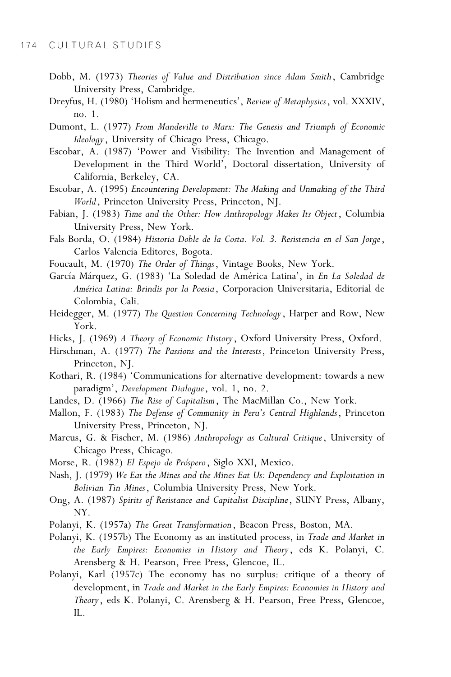- Dobb, M. (1973) Theories of Value and Distribution since Adam Smith, Cambridge University Press, Cambridge.
- Dreyfus, H. (1980) 'Holism and hermeneutics', Review of Metaphysics, vol. XXXIV, no. 1.
- Dumont, L. (1977) From Mandeville to Marx: The Genesis and Triumph of Economic Ideology, University of Chicago Press, Chicago.
- Escobar, A. (1987) 'Power and Visibility: The Invention and Management of Development in the Third World', Doctoral dissertation, University of California, Berkeley, CA.
- Escobar, A. (1995) Encountering Development: The Making and Unmaking of the Third World, Princeton University Press, Princeton, NJ.
- Fabian, J. (1983) Time and the Other: How Anthropology Makes Its Object, Columbia University Press, New York.
- Fals Borda, O. (1984) Historia Doble de la Costa. Vol. 3. Resistencia en el San Jorge, Carlos Valencia Editores, Bogota.
- Foucault, M. (1970) The Order of Things, Vintage Books, New York.
- García Márquez, G. (1983) 'La Soledad de América Latina', in En La Soledad de América Latina: Brindis por la Poesia, Corporacion Universitaria, Editorial de Colombia, Cali.
- Heidegger, M. (1977) The Question Concerning Technology, Harper and Row, New York.
- Hicks, J. (1969) A Theory of Economic History, Oxford University Press, Oxford.
- Hirschman, A. (1977) The Passions and the Interests, Princeton University Press, Princeton, NJ.
- Kothari, R. (1984) 'Communications for alternative development: towards a new paradigm', Development Dialogue, vol. 1, no. 2.
- Landes, D. (1966) The Rise of Capitalism, The MacMillan Co., New York.
- Mallon, F. (1983) The Defense of Community in Peru's Central Highlands, Princeton University Press, Princeton, NJ.
- Marcus, G. & Fischer, M. (1986) Anthropology as Cultural Critique, University of Chicago Press, Chicago.
- Morse, R. (1982) El Espejo de Próspero, Siglo XXI, Mexico.
- Nash, J. (1979) We Eat the Mines and the Mines Eat Us: Dependency and Exploitation in Bolivian Tin Mines, Columbia University Press, New York.
- Ong, A. (1987) Spirits of Resistance and Capitalist Discipline, SUNY Press, Albany, NY.
- Polanyi, K. (1957a) The Great Transformation, Beacon Press, Boston, MA.
- Polanyi, K. (1957b) The Economy as an instituted process, in Trade and Market in the Early Empires: Economies in History and Theory, eds K. Polanyi, C. Arensberg & H. Pearson, Free Press, Glencoe, IL.
- Polanyi, Karl (1957c) The economy has no surplus: critique of a theory of development, in Trade and Market in the Early Empires: Economies in History and Theory, eds K. Polanyi, C. Arensberg & H. Pearson, Free Press, Glencoe, IL.